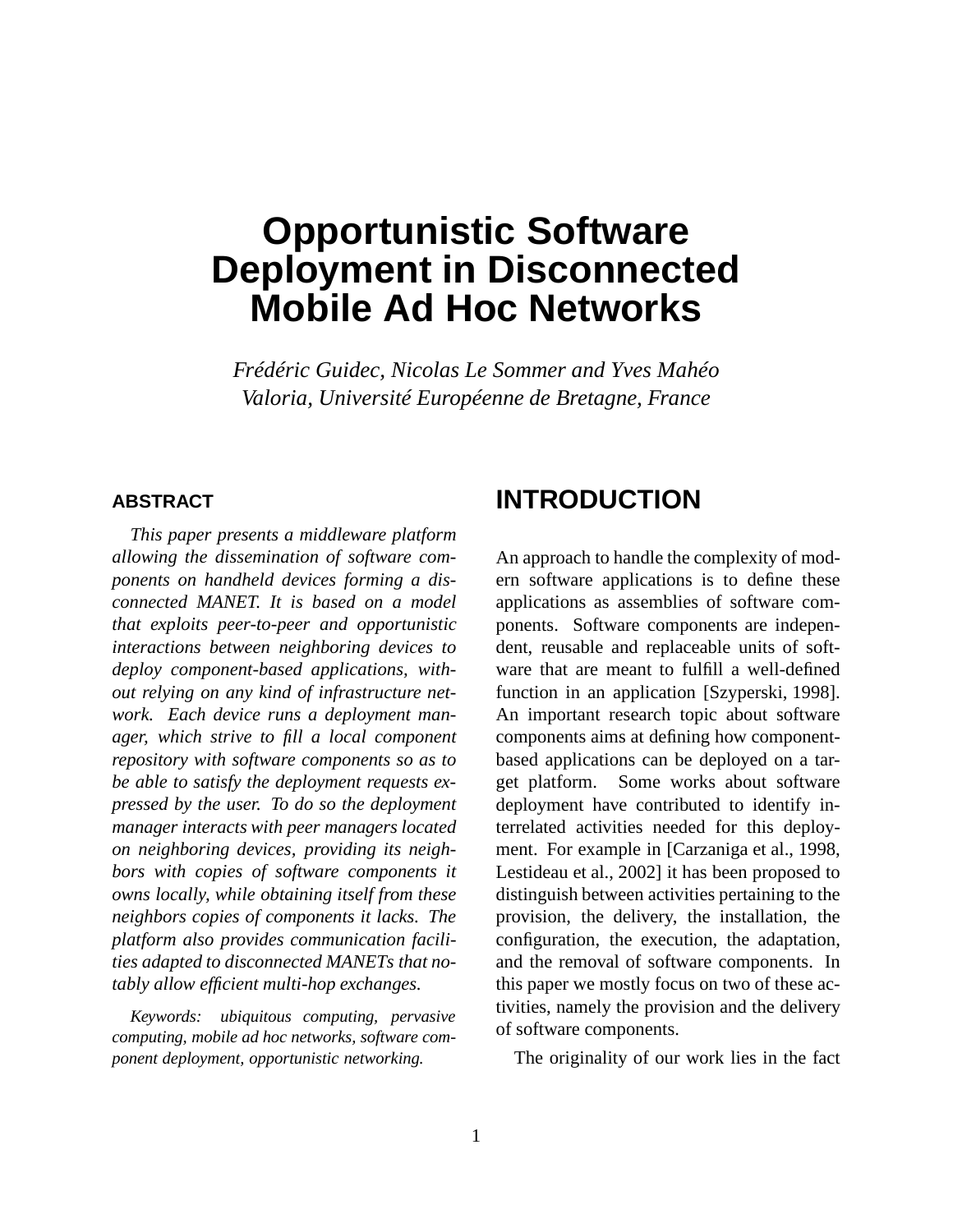# **Opportunistic Software Deployment in Disconnected Mobile Ad Hoc Networks**

*Frédéric Guidec, Nicolas Le Sommer and Yves Mahéo Valoria, Université Européenne de Bretagne, France*

#### **ABSTRACT**

*This paper presents a middleware platform allowing the dissemination of software components on handheld devices forming a disconnected MANET. It is based on a model that exploits peer-to-peer and opportunistic interactions between neighboring devices to deploy component-based applications, without relying on any kind of infrastructure network. Each device runs a deployment manager, which strive to fill a local component repository with software components so as to be able to satisfy the deployment requests expressed by the user. To do so the deployment manager interacts with peer managers located on neighboring devices, providing its neighbors with copies of software components it owns locally, while obtaining itself from these neighbors copies of components it lacks. The platform also provides communication facilities adapted to disconnected MANETs that notably allow efficient multi-hop exchanges.*

*Keywords: ubiquitous computing, pervasive computing, mobile ad hoc networks, software component deployment, opportunistic networking.*

## **INTRODUCTION**

An approach to handle the complexity of modern software applications is to define these applications as assemblies of software components. Software components are independent, reusable and replaceable units of software that are meant to fulfill a well-defined function in an application [Szyperski, 1998]. An important research topic about software components aims at defining how componentbased applications can be deployed on a target platform. Some works about software deployment have contributed to identify interrelated activities needed for this deployment. For example in [Carzaniga et al., 1998, Lestideau et al., 2002] it has been proposed to distinguish between activities pertaining to the provision, the delivery, the installation, the configuration, the execution, the adaptation, and the removal of software components. In this paper we mostly focus on two of these activities, namely the provision and the delivery of software components.

The originality of our work lies in the fact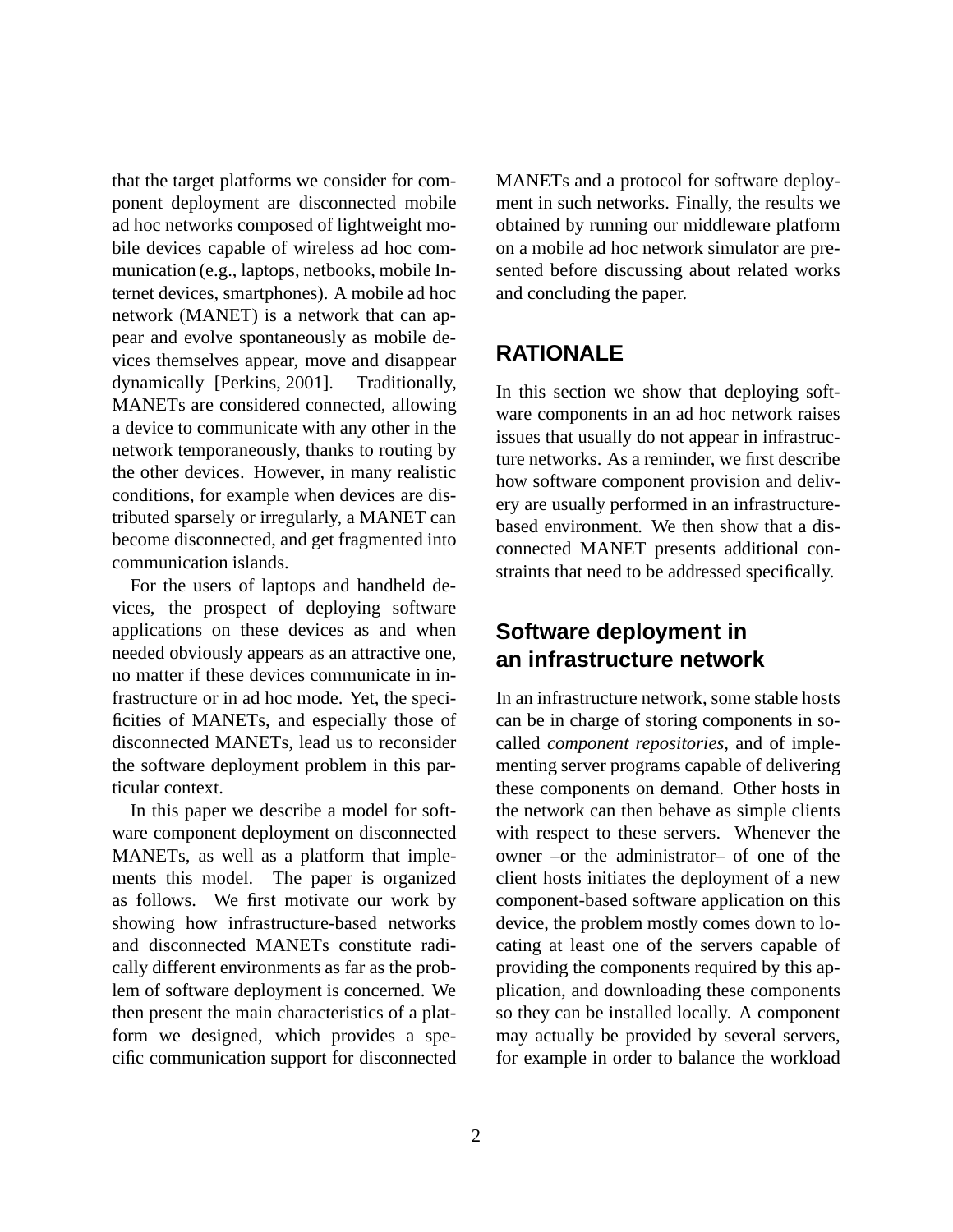that the target platforms we consider for component deployment are disconnected mobile ad hoc networks composed of lightweight mobile devices capable of wireless ad hoc communication (e.g., laptops, netbooks, mobile Internet devices, smartphones). A mobile ad hoc network (MANET) is a network that can appear and evolve spontaneously as mobile devices themselves appear, move and disappear<br>dynamically [Perkins, 2001]. Traditionally. dynamically [Perkins, 2001]. MANETs are considered connected, allowing a device to communicate with any other in the network temporaneously, thanks to routing by the other devices. However, in many realistic conditions, for example when devices are distributed sparsely or irregularly, a MANET can become disconnected, and get fragmented into communication islands.

For the users of laptops and handheld devices, the prospect of deploying software applications on these devices as and when needed obviously appears as an attractive one, no matter if these devices communicate in infrastructure or in ad hoc mode. Yet, the specificities of MANETs, and especially those of disconnected MANETs, lead us to reconsider the software deployment problem in this particular context.

In this paper we describe a model for software component deployment on disconnected MANETs, as well as a platform that implements this model. The paper is organized as follows. We first motivate our work by showing how infrastructure-based networks and disconnected MANETs constitute radically different environments as far as the problem of software deployment is concerned. We then present the main characteristics of a platform we designed, which provides a specific communication support for disconnected

MANETs and a protocol for software deployment in such networks. Finally, the results we obtained by running our middleware platform on a mobile ad hoc network simulator are presented before discussing about related works and concluding the paper.

### **RATIONALE**

In this section we show that deploying software components in an ad hoc network raises issues that usually do not appear in infrastructure networks. As a reminder, we first describe how software component provision and delivery are usually performed in an infrastructurebased environment. We then show that a disconnected MANET presents additional constraints that need to be addressed specifically.

### **Software deployment in an infrastructure network**

In an infrastructure network, some stable hosts can be in charge of storing components in socalled *component repositories*, and of implementing server programs capable of delivering these components on demand. Other hosts in the network can then behave as simple clients with respect to these servers. Whenever the owner –or the administrator– of one of the client hosts initiates the deployment of a new component-based software application on this device, the problem mostly comes down to locating at least one of the servers capable of providing the components required by this application, and downloading these components so they can be installed locally. A component may actually be provided by several servers, for example in order to balance the workload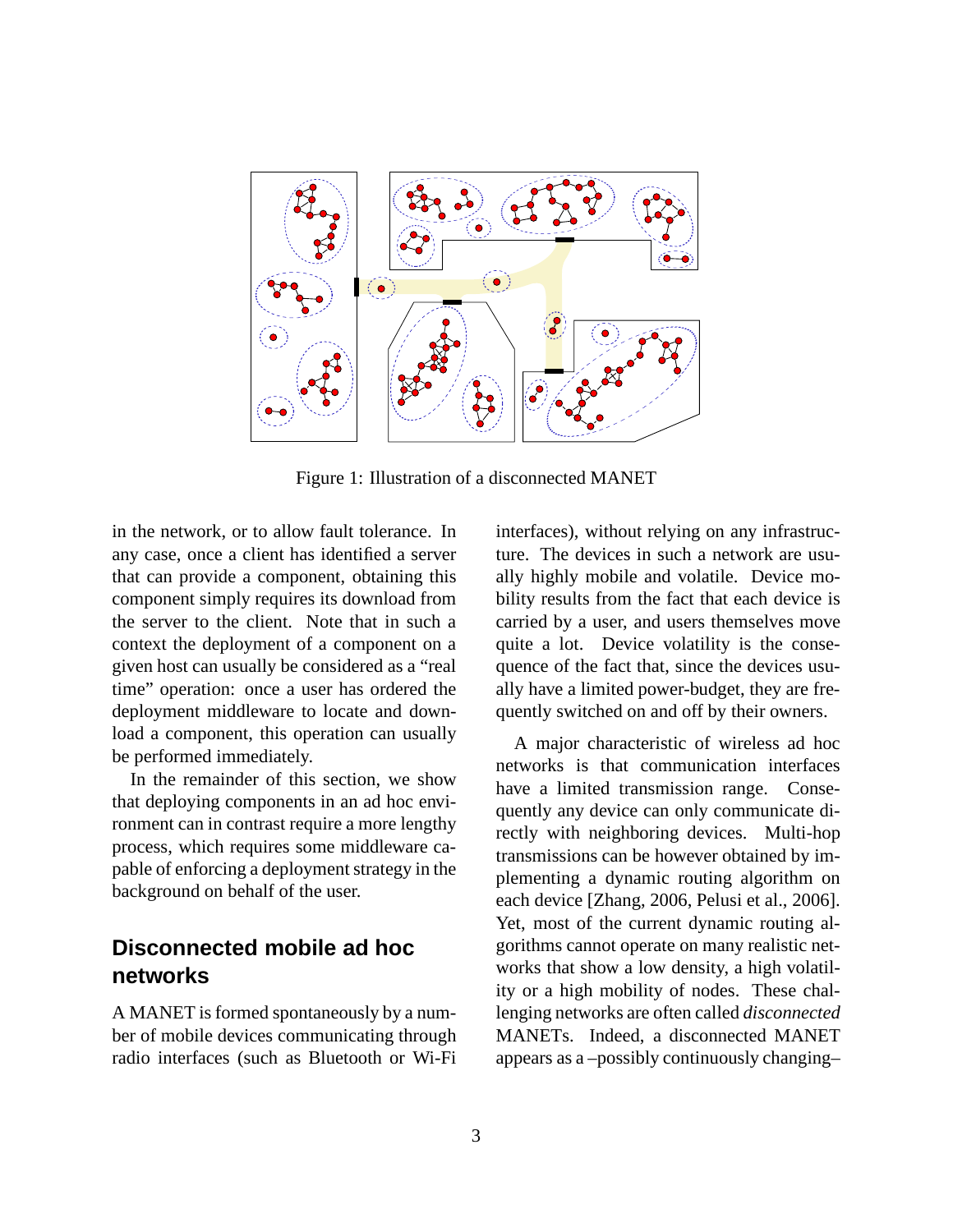

Figure 1: Illustration of a disconnected MANET

in the network, or to allow fault tolerance. In any case, once a client has identified a server that can provide a component, obtaining this component simply requires its download from the server to the client. Note that in such a context the deployment of a component on a given host can usually be considered as a "real time" operation: once a user has ordered the deployment middleware to locate and download a component, this operation can usually be performed immediately.

In the remainder of this section, we show that deploying components in an ad hoc environment can in contrast require a more lengthy process, which requires some middleware capable of enforcing a deployment strategy in the background on behalf of the user.

### **Disconnected mobile ad hoc networks**

A MANET is formed spontaneously by a number of mobile devices communicating through radio interfaces (such as Bluetooth or Wi-Fi

interfaces), without relying on any infrastructure. The devices in such a network are usually highly mobile and volatile. Device mobility results from the fact that each device is carried by a user, and users themselves move quite a lot. Device volatility is the consequence of the fact that, since the devices usually have a limited power-budget, they are frequently switched on and off by their owners.

A major characteristic of wireless ad hoc networks is that communication interfaces have a limited transmission range. Consequently any device can only communicate directly with neighboring devices. Multi-hop transmissions can be however obtained by implementing a dynamic routing algorithm on each device [Zhang, 2006, Pelusi et al., 2006]. Yet, most of the current dynamic routing algorithms cannot operate on many realistic networks that show a low density, a high volatility or a high mobility of nodes. These challenging networks are often called *disconnected* MANETs. Indeed, a disconnected MANET appears as a –possibly continuously changing–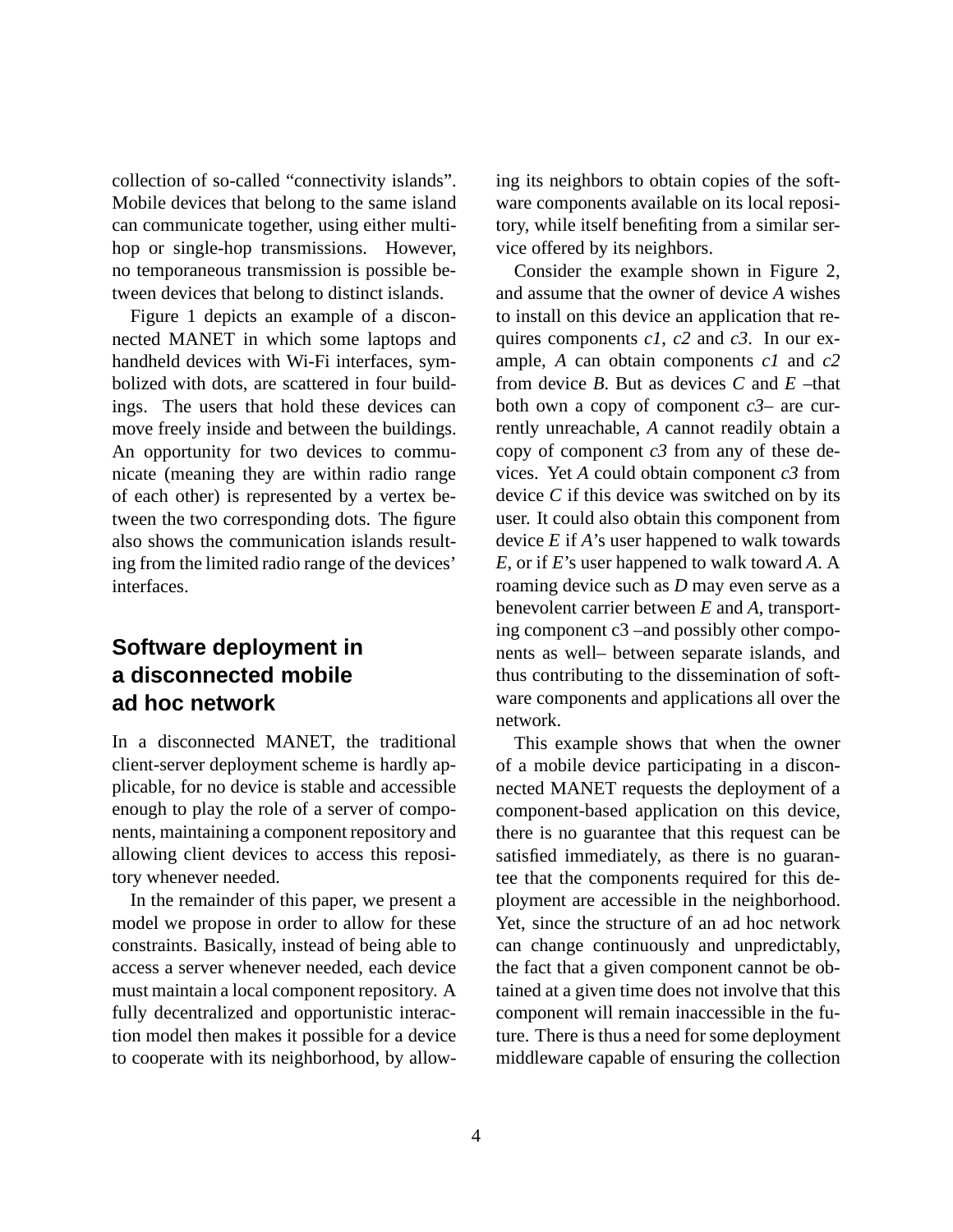collection of so-called "connectivity islands". Mobile devices that belong to the same island can communicate together, using either multihop or single-hop transmissions. However, no temporaneous transmission is possible between devices that belong to distinct islands.

Figure 1 depicts an example of a disconnected MANET in which some laptops and handheld devices with Wi-Fi interfaces, symbolized with dots, are scattered in four buildings. The users that hold these devices can move freely inside and between the buildings. An opportunity for two devices to communicate (meaning they are within radio range of each other) is represented by a vertex between the two corresponding dots. The figure also shows the communication islands resulting from the limited radio range of the devices' interfaces.

### **Software deployment in a disconnected mobile ad hoc network**

In a disconnected MANET, the traditional client-server deployment scheme is hardly applicable, for no device is stable and accessible enough to play the role of a server of components, maintaining a component repository and allowing client devices to access this repository whenever needed.

In the remainder of this paper, we present a model we propose in order to allow for these constraints. Basically, instead of being able to access a server whenever needed, each device must maintain a local component repository. A fully decentralized and opportunistic interaction model then makes it possible for a device to cooperate with its neighborhood, by allow-

ing its neighbors to obtain copies of the software components available on its local repository, while itself benefiting from a similar service offered by its neighbors.

Consider the example shown in Figure 2, and assume that the owner of device *A* wishes to install on this device an application that requires components *c1*, *c2* and *c3*. In our example, *A* can obtain components *c1* and *c2* from device *B*. But as devices *C* and *E* –that both own a copy of component *c3*– are currently unreachable, *A* cannot readily obtain a copy of component *c3* from any of these devices. Yet *A* could obtain component *c3* from device *C* if this device was switched on by its user. It could also obtain this component from device *E* if *A*'s user happened to walk towards *E*, or if *E*'s user happened to walk toward *A*. A roaming device such as *D* may even serve as a benevolent carrier between *E* and *A*, transporting component c3 –and possibly other components as well– between separate islands, and thus contributing to the dissemination of software components and applications all over the network.

This example shows that when the owner of a mobile device participating in a disconnected MANET requests the deployment of a component-based application on this device, there is no guarantee that this request can be satisfied immediately, as there is no guarantee that the components required for this deployment are accessible in the neighborhood. Yet, since the structure of an ad hoc network can change continuously and unpredictably, the fact that a given component cannot be obtained at a given time does not involve that this component will remain inaccessible in the future. There is thus a need for some deployment middleware capable of ensuring the collection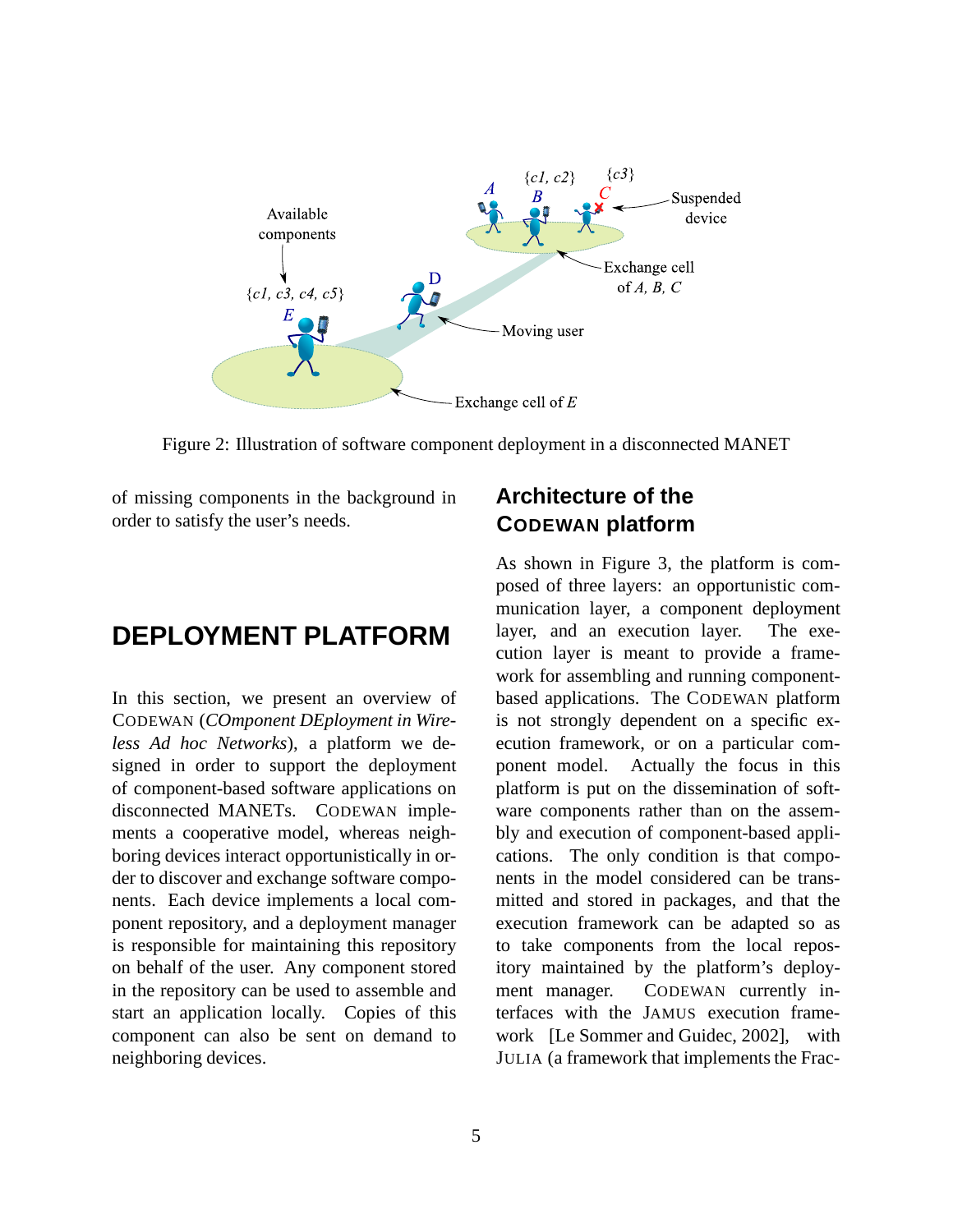

Figure 2: Illustration of software component deployment in a disconnected MANET

of missing components in the background in order to satisfy the user's needs.

# **DEPLOYMENT PLATFORM**

In this section, we present an overview of CODEWAN (*COmponent DEployment in Wireless Ad hoc Networks*), a platform we designed in order to support the deployment of component-based software applications on disconnected MANETs. CODEWAN implements a cooperative model, whereas neighboring devices interact opportunistically in order to discover and exchange software components. Each device implements a local component repository, and a deployment manager is responsible for maintaining this repository on behalf of the user. Any component stored in the repository can be used to assemble and start an application locally. Copies of this component can also be sent on demand to neighboring devices.

### **Architecture of the CODEWAN platform**

As shown in Figure 3, the platform is composed of three layers: an opportunistic communication layer, a component deployment layer, and an execution layer. The execution layer is meant to provide a framework for assembling and running componentbased applications. The CODEWAN platform is not strongly dependent on a specific execution framework, or on a particular component model. Actually the focus in this platform is put on the dissemination of software components rather than on the assembly and execution of component-based applications. The only condition is that components in the model considered can be transmitted and stored in packages, and that the execution framework can be adapted so as to take components from the local repository maintained by the platform's deployment manager. CODEWAN currently interfaces with the JAMUS execution framework [Le Sommer and Guidec, 2002], with JULIA (a framework that implements the Frac-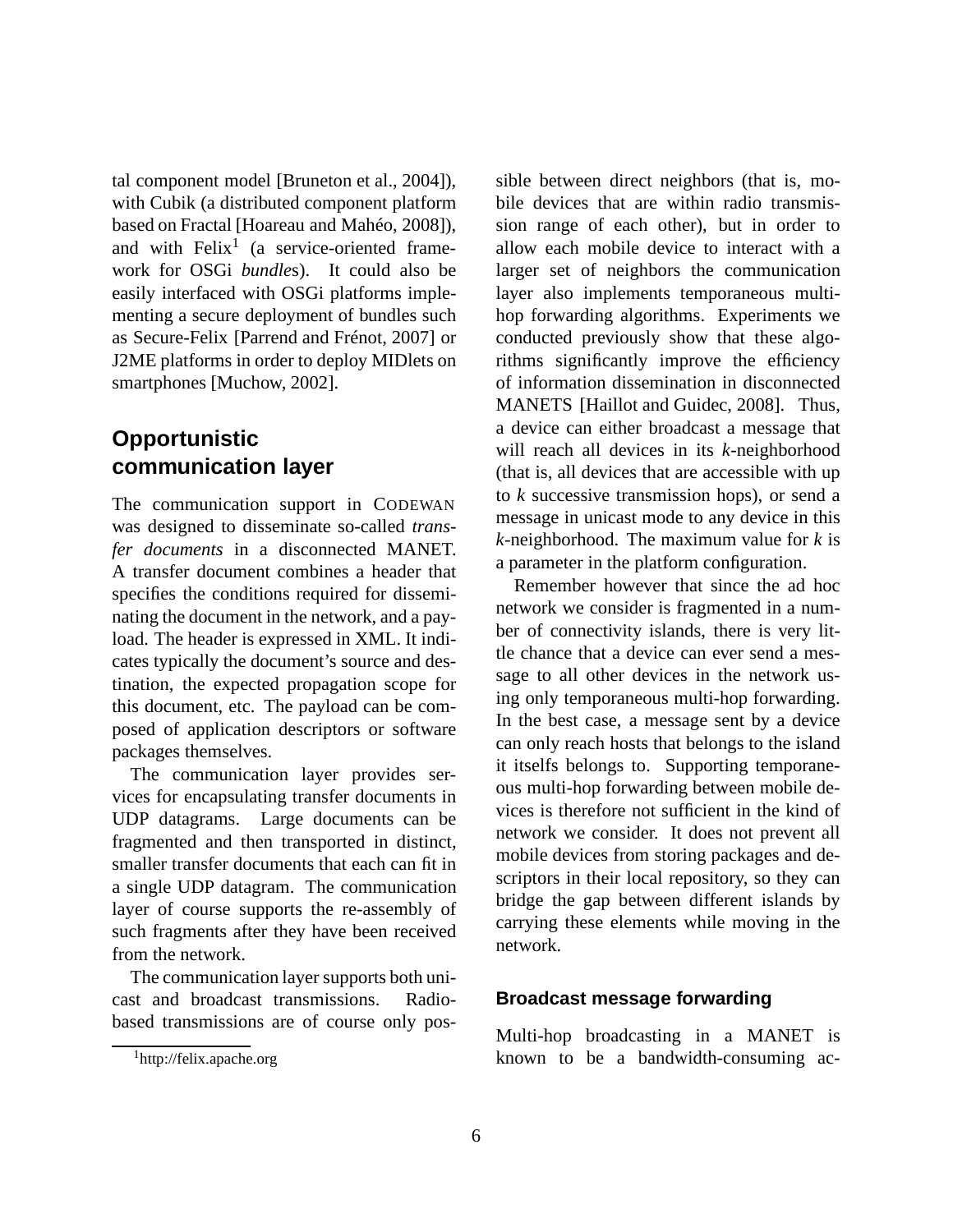tal component model [Bruneton et al., 2004]), with Cubik (a distributed component platform based on Fractal [Hoareau and Mahéo, 2008]), and with  $Felix<sup>1</sup>$  (a service-oriented framework for OSGi *bundle*s). It could also be easily interfaced with OSGi platforms implementing a secure deployment of bundles such as Secure-Felix [Parrend and Frénot, 2007] or J2ME platforms in order to deploy MIDlets on smartphones [Muchow, 2002].

### **Opportunistic communication layer**

The communication support in CODEWAN was designed to disseminate so-called *transfer documents* in a disconnected MANET. A transfer document combines a header that specifies the conditions required for disseminating the document in the network, and a payload. The header is expressed in XML. It indicates typically the document's source and destination, the expected propagation scope for this document, etc. The payload can be composed of application descriptors or software packages themselves.

The communication layer provides services for encapsulating transfer documents in UDP datagrams. Large documents can be fragmented and then transported in distinct, smaller transfer documents that each can fit in a single UDP datagram. The communication layer of course supports the re-assembly of such fragments after they have been received from the network.

The communication layer supports both unicast and broadcast transmissions. Radiobased transmissions are of course only pos-

sible between direct neighbors (that is, mobile devices that are within radio transmission range of each other), but in order to allow each mobile device to interact with a larger set of neighbors the communication layer also implements temporaneous multihop forwarding algorithms. Experiments we conducted previously show that these algorithms significantly improve the efficiency of information dissemination in disconnected MANETS [Haillot and Guidec, 2008]. Thus, a device can either broadcast a message that will reach all devices in its *k*-neighborhood (that is, all devices that are accessible with up to *k* successive transmission hops), or send a message in unicast mode to any device in this *k*-neighborhood. The maximum value for *k* is a parameter in the platform configuration.

Remember however that since the ad hoc network we consider is fragmented in a number of connectivity islands, there is very little chance that a device can ever send a message to all other devices in the network using only temporaneous multi-hop forwarding. In the best case, a message sent by a device can only reach hosts that belongs to the island it itselfs belongs to. Supporting temporaneous multi-hop forwarding between mobile devices is therefore not sufficient in the kind of network we consider. It does not prevent all mobile devices from storing packages and descriptors in their local repository, so they can bridge the gap between different islands by carrying these elements while moving in the network.

#### **Broadcast message forwarding**

Multi-hop broadcasting in a MANET is known to be a bandwidth-consuming ac-

<sup>1</sup>http://felix.apache.org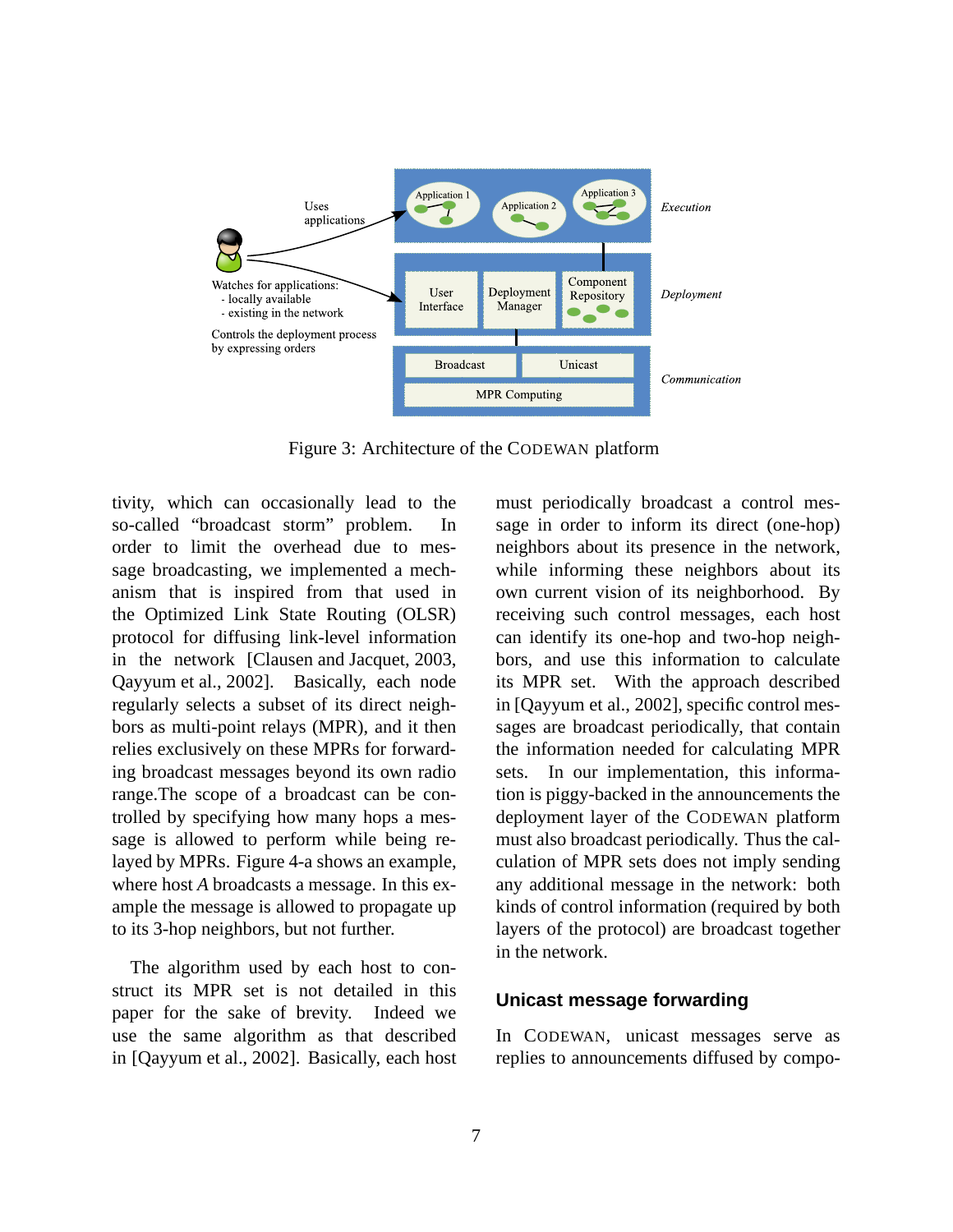

Figure 3: Architecture of the CODEWAN platform

tivity, which can occasionally lead to the so-called "broadcast storm" problem. In order to limit the overhead due to message broadcasting, we implemented a mechanism that is inspired from that used in the Optimized Link State Routing (OLSR) protocol for diffusing link-level information in the network [Clausen and Jacquet, 2003, Qayyum et al., 2002]. Basically, each node regularly selects a subset of its direct neighbors as multi-point relays (MPR), and it then relies exclusively on these MPRs for forwarding broadcast messages beyond its own radio range.The scope of a broadcast can be controlled by specifying how many hops a message is allowed to perform while being relayed by MPRs. Figure 4-a shows an example, where host *A* broadcasts a message. In this example the message is allowed to propagate up to its 3-hop neighbors, but not further.

The algorithm used by each host to construct its MPR set is not detailed in this paper for the sake of brevity. Indeed we use the same algorithm as that described in [Qayyum et al., 2002]. Basically, each host

must periodically broadcast a control message in order to inform its direct (one-hop) neighbors about its presence in the network, while informing these neighbors about its own current vision of its neighborhood. By receiving such control messages, each host can identify its one-hop and two-hop neighbors, and use this information to calculate its MPR set. With the approach described in [Qayyum et al., 2002], specific control messages are broadcast periodically, that contain the information needed for calculating MPR sets. In our implementation, this information is piggy-backed in the announcements the deployment layer of the CODEWAN platform must also broadcast periodically. Thus the calculation of MPR sets does not imply sending any additional message in the network: both kinds of control information (required by both layers of the protocol) are broadcast together in the network.

#### **Unicast message forwarding**

In CODEWAN, unicast messages serve as replies to announcements diffused by compo-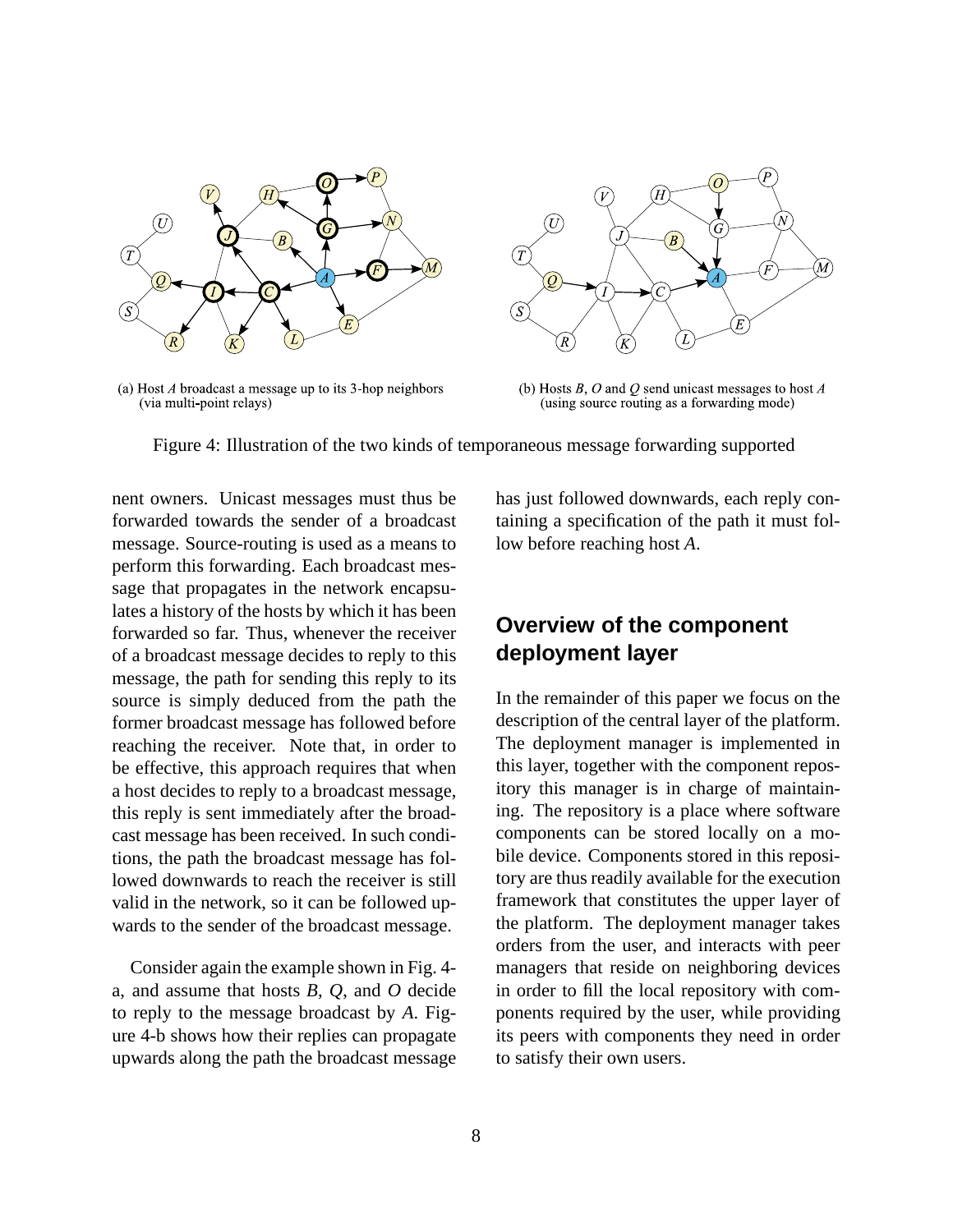

(a) Host  $A$  broadcast a message up to its 3-hop neighbors (via multi-point relays)



(b) Hosts  $B$ ,  $O$  and  $Q$  send unicast messages to host  $A$ (using source routing as a forwarding mode)

Figure 4: Illustration of the two kinds of temporaneous message forwarding supported

nent owners. Unicast messages must thus be forwarded towards the sender of a broadcast message. Source-routing is used as a means to perform this forwarding. Each broadcast message that propagates in the network encapsulates a history of the hosts by which it has been forwarded so far. Thus, whenever the receiver of a broadcast message decides to reply to this message, the path for sending this reply to its source is simply deduced from the path the former broadcast message has followed before reaching the receiver. Note that, in order to be effective, this approach requires that when a host decides to reply to a broadcast message, this reply is sent immediately after the broadcast message has been received. In such conditions, the path the broadcast message has followed downwards to reach the receiver is still valid in the network, so it can be followed upwards to the sender of the broadcast message.

Consider again the example shown in Fig. 4 a, and assume that hosts *B*, *Q*, and *O* decide to reply to the message broadcast by *A*. Figure 4-b shows how their replies can propagate upwards along the path the broadcast message has just followed downwards, each reply containing a specification of the path it must follow before reaching host *A*.

### **Overview of the component deployment layer**

In the remainder of this paper we focus on the description of the central layer of the platform. The deployment manager is implemented in this layer, together with the component repository this manager is in charge of maintaining. The repository is a place where software components can be stored locally on a mobile device. Components stored in this repository are thus readily available for the execution framework that constitutes the upper layer of the platform. The deployment manager takes orders from the user, and interacts with peer managers that reside on neighboring devices in order to fill the local repository with components required by the user, while providing its peers with components they need in order to satisfy their own users.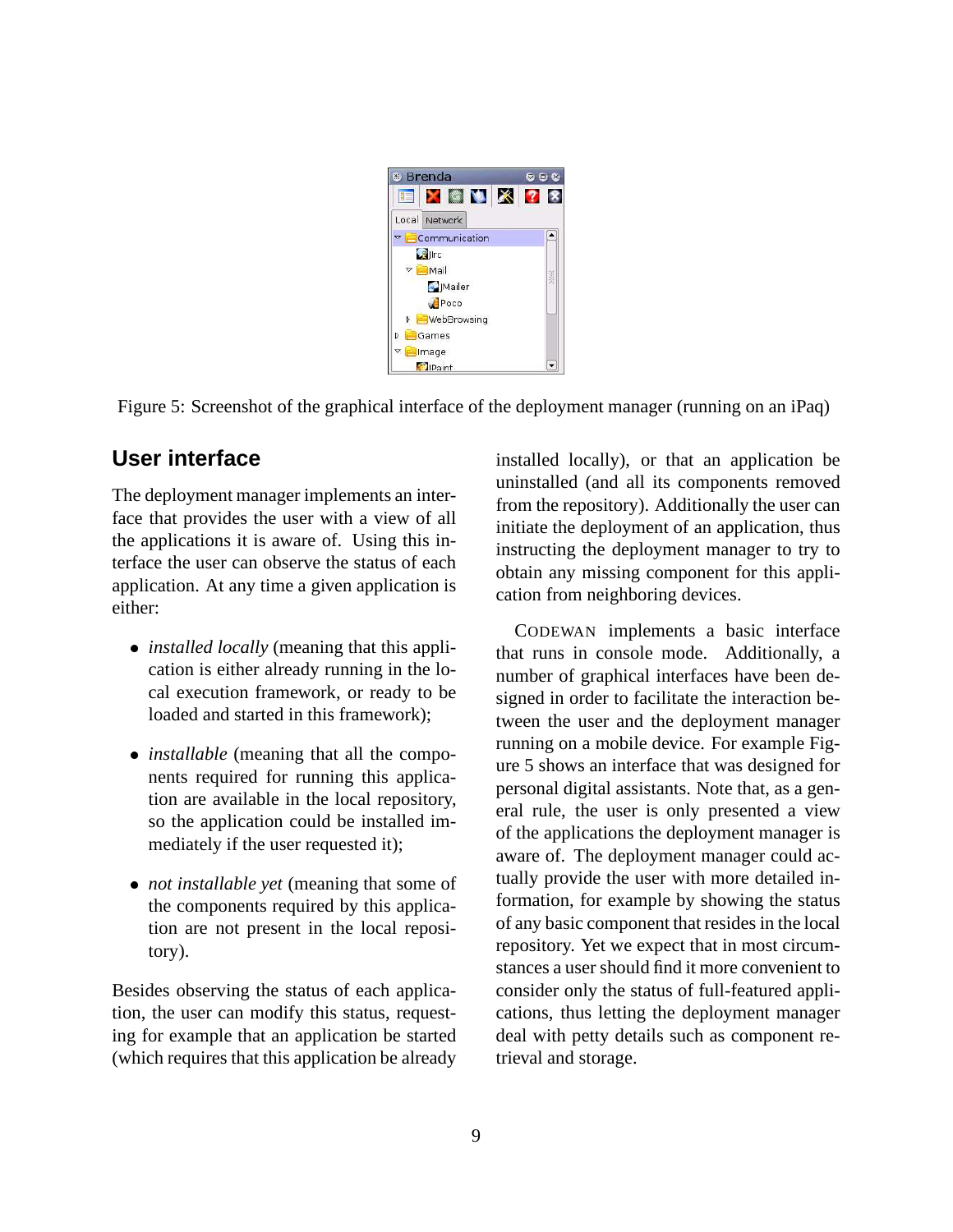

Figure 5: Screenshot of the graphical interface of the deployment manager (running on an iPaq)

### **User interface**

The deployment manager implements an interface that provides the user with a view of all the applications it is aware of. Using this interface the user can observe the status of each application. At any time a given application is either:

- *installed locally* (meaning that this application is either already running in the local execution framework, or ready to be loaded and started in this framework);
- *installable* (meaning that all the components required for running this application are available in the local repository, so the application could be installed immediately if the user requested it);
- *not installable yet* (meaning that some of the components required by this application are not present in the local repository).

Besides observing the status of each application, the user can modify this status, requesting for example that an application be started (which requires that this application be already

installed locally), or that an application be uninstalled (and all its components removed from the repository). Additionally the user can initiate the deployment of an application, thus instructing the deployment manager to try to obtain any missing component for this application from neighboring devices.

CODEWAN implements a basic interface that runs in console mode. Additionally, a number of graphical interfaces have been designed in order to facilitate the interaction between the user and the deployment manager running on a mobile device. For example Figure 5 shows an interface that was designed for personal digital assistants. Note that, as a general rule, the user is only presented a view of the applications the deployment manager is aware of. The deployment manager could actually provide the user with more detailed information, for example by showing the status of any basic component that resides in the local repository. Yet we expect that in most circumstances a user should find it more convenient to consider only the status of full-featured applications, thus letting the deployment manager deal with petty details such as component retrieval and storage.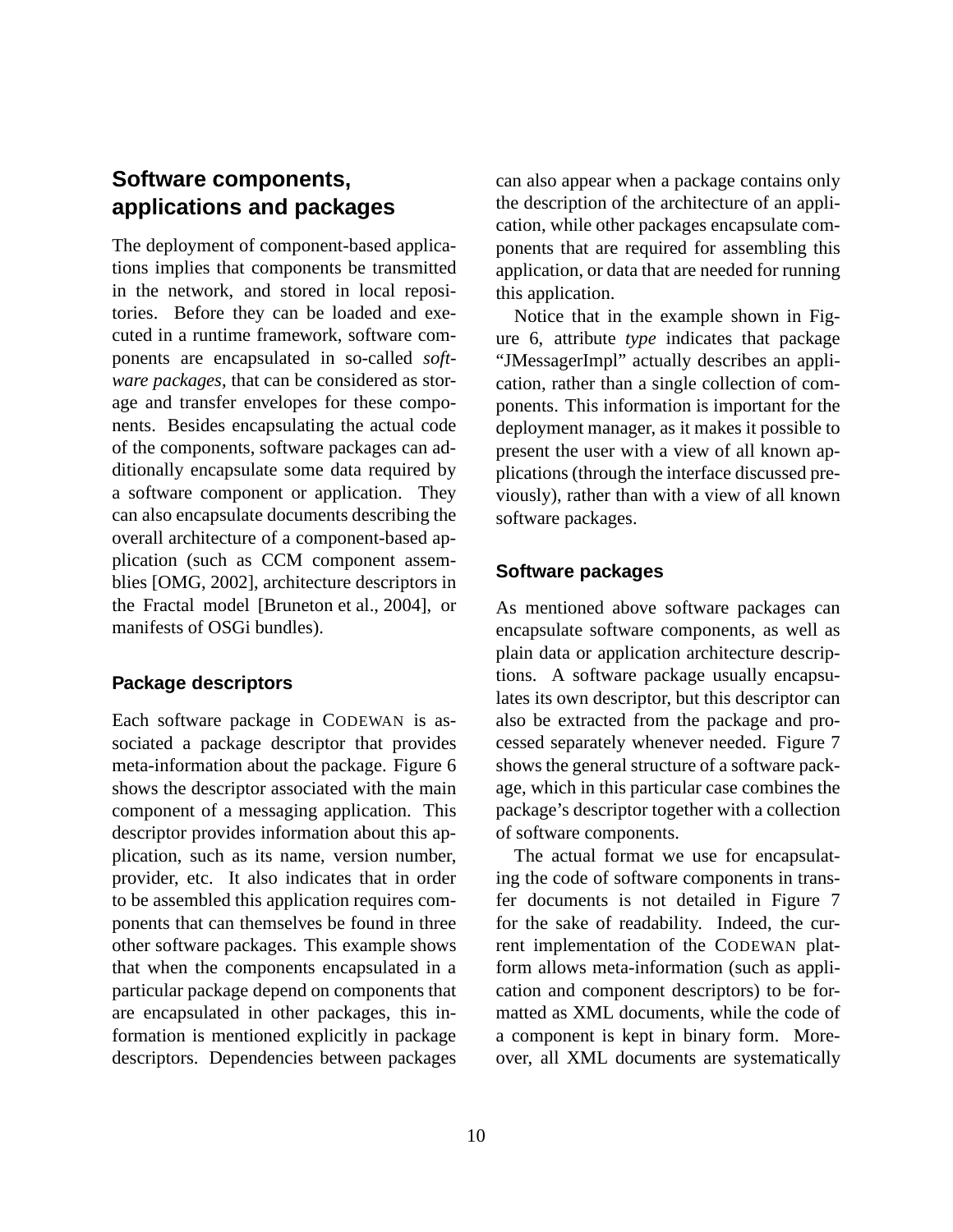### **Software components, applications and packages**

The deployment of component-based applications implies that components be transmitted in the network, and stored in local repositories. Before they can be loaded and executed in a runtime framework, software components are encapsulated in so-called *software packages*, that can be considered as storage and transfer envelopes for these components. Besides encapsulating the actual code of the components, software packages can additionally encapsulate some data required by a software component or application. They can also encapsulate documents describing the overall architecture of a component-based application (such as CCM component assemblies [OMG, 2002], architecture descriptors in the Fractal model [Bruneton et al., 2004], or manifests of OSGi bundles).

#### **Package descriptors**

Each software package in CODEWAN is associated a package descriptor that provides meta-information about the package. Figure 6 shows the descriptor associated with the main component of a messaging application. This descriptor provides information about this application, such as its name, version number, provider, etc. It also indicates that in order to be assembled this application requires components that can themselves be found in three other software packages. This example shows that when the components encapsulated in a particular package depend on components that are encapsulated in other packages, this information is mentioned explicitly in package descriptors. Dependencies between packages

can also appear when a package contains only the description of the architecture of an application, while other packages encapsulate components that are required for assembling this application, or data that are needed for running this application.

Notice that in the example shown in Figure 6, attribute *type* indicates that package "JMessagerImpl" actually describes an application, rather than a single collection of components. This information is important for the deployment manager, as it makes it possible to present the user with a view of all known applications (through the interface discussed previously), rather than with a view of all known software packages.

#### **Software packages**

As mentioned above software packages can encapsulate software components, as well as plain data or application architecture descriptions. A software package usually encapsulates its own descriptor, but this descriptor can also be extracted from the package and processed separately whenever needed. Figure 7 shows the general structure of a software package, which in this particular case combines the package's descriptor together with a collection of software components.

The actual format we use for encapsulating the code of software components in transfer documents is not detailed in Figure 7 for the sake of readability. Indeed, the current implementation of the CODEWAN platform allows meta-information (such as application and component descriptors) to be formatted as XML documents, while the code of a component is kept in binary form. Moreover, all XML documents are systematically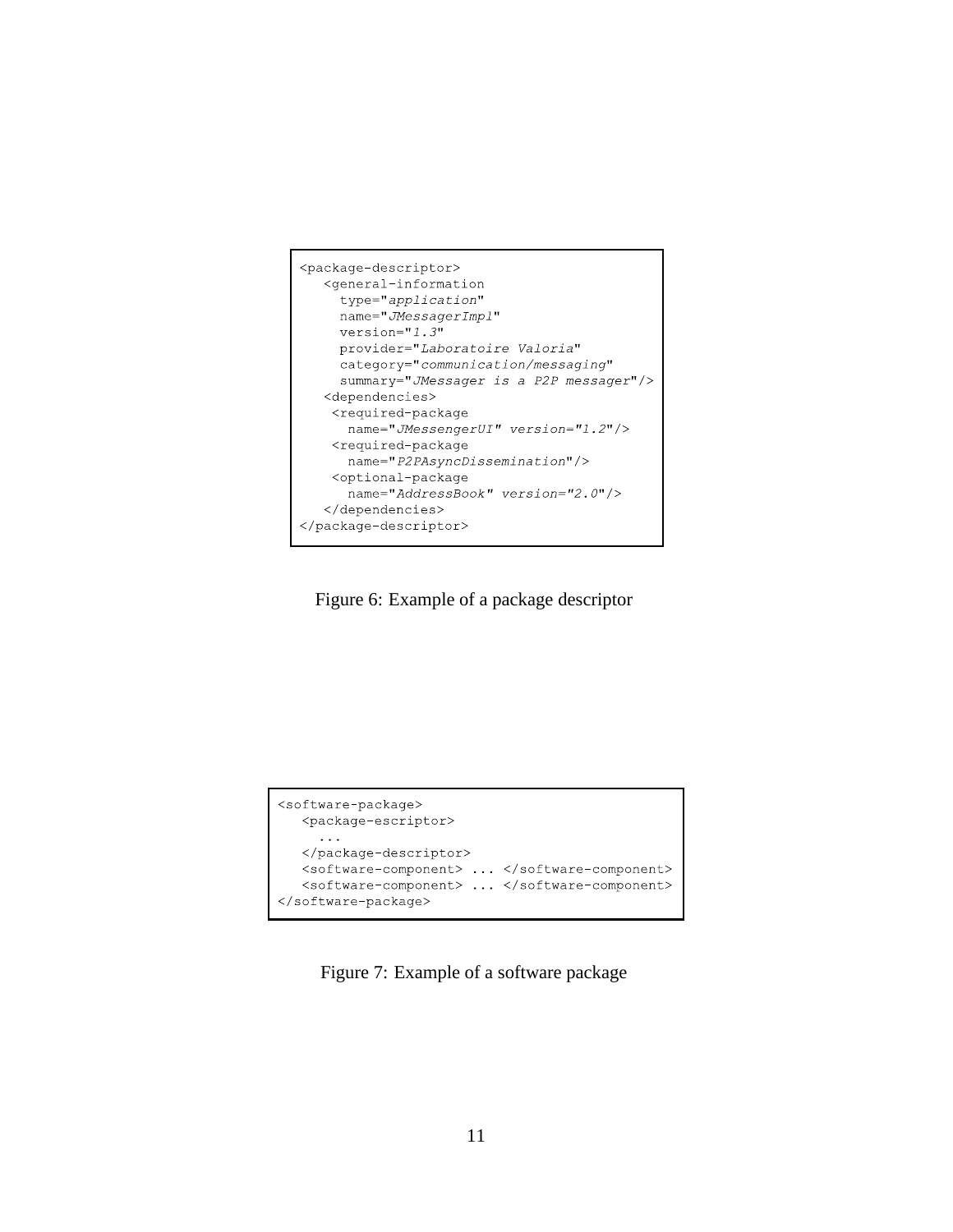```
<package-descriptor>
  <general-information
    type="application"
    name="JMessagerImpl"
    version="1.3"provider="Laboratoire Valoria"
    category="communication/messaging"
    summary="JMessager is a P2P messager"/>
  <dependencies>
   <required-package
    name="JMessengerUI" version="1.2"/>
   <required-package
    name="P2PAsyncDissemination"/>
   <optional-package
     name="AddressBook" version="2.0"/>
   </dependencies>
</package-descriptor>
```
Figure 6: Example of a package descriptor

```
<software-package>
   <package-escriptor>
     \sim 100 km ^{-1}</package-descriptor>
   <software-component> ... </software-component>
   <software-component> ... </software-component>
</software-package>
```
Figure 7: Example of a software package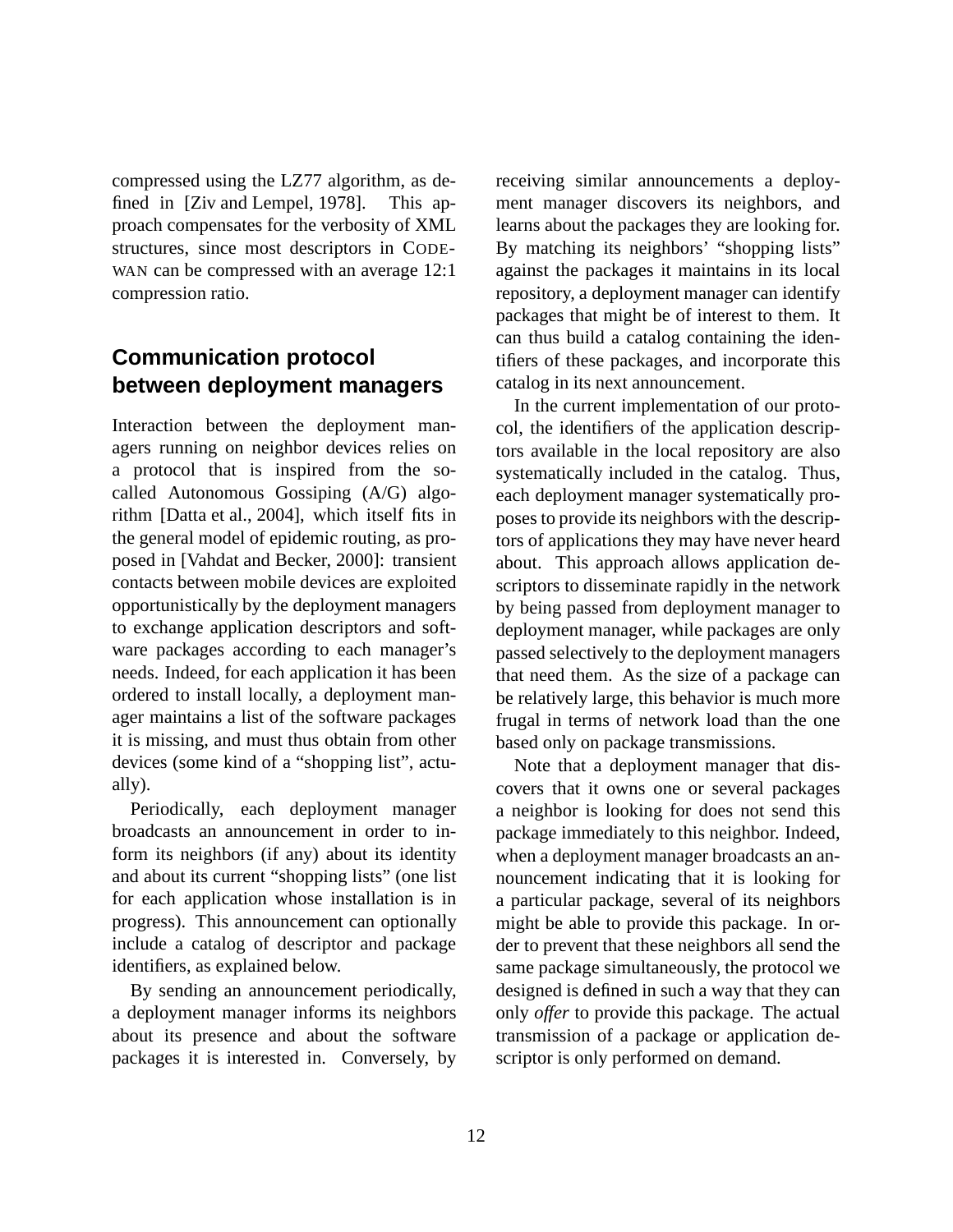compressed using the LZ77 algorithm, as defined in [Ziv and Lempel, 1978]. This approach compensates for the verbosity of XML structures, since most descriptors in CODE-WAN can be compressed with an average 12:1 compression ratio.

### **Communication protocol between deployment managers**

Interaction between the deployment managers running on neighbor devices relies on a protocol that is inspired from the socalled Autonomous Gossiping (A/G) algorithm [Datta et al., 2004], which itself fits in the general model of epidemic routing, as proposed in [Vahdat and Becker, 2000]: transient contacts between mobile devices are exploited opportunistically by the deployment managers to exchange application descriptors and software packages according to each manager's needs. Indeed, for each application it has been ordered to install locally, a deployment manager maintains a list of the software packages it is missing, and must thus obtain from other devices (some kind of a "shopping list", actually).

Periodically, each deployment manager broadcasts an announcement in order to inform its neighbors (if any) about its identity and about its current "shopping lists" (one list for each application whose installation is in progress). This announcement can optionally include a catalog of descriptor and package identifiers, as explained below.

By sending an announcement periodically, a deployment manager informs its neighbors about its presence and about the software packages it is interested in. Conversely, by

receiving similar announcements a deployment manager discovers its neighbors, and learns about the packages they are looking for. By matching its neighbors' "shopping lists" against the packages it maintains in its local repository, a deployment manager can identify packages that might be of interest to them. It can thus build a catalog containing the identifiers of these packages, and incorporate this catalog in its next announcement.

In the current implementation of our protocol, the identifiers of the application descriptors available in the local repository are also systematically included in the catalog. Thus, each deployment manager systematically proposes to provide its neighbors with the descriptors of applications they may have never heard about. This approach allows application descriptors to disseminate rapidly in the network by being passed from deployment manager to deployment manager, while packages are only passed selectively to the deployment managers that need them. As the size of a package can be relatively large, this behavior is much more frugal in terms of network load than the one based only on package transmissions.

Note that a deployment manager that discovers that it owns one or several packages a neighbor is looking for does not send this package immediately to this neighbor. Indeed, when a deployment manager broadcasts an announcement indicating that it is looking for a particular package, several of its neighbors might be able to provide this package. In order to prevent that these neighbors all send the same package simultaneously, the protocol we designed is defined in such a way that they can only *offer* to provide this package. The actual transmission of a package or application descriptor is only performed on demand.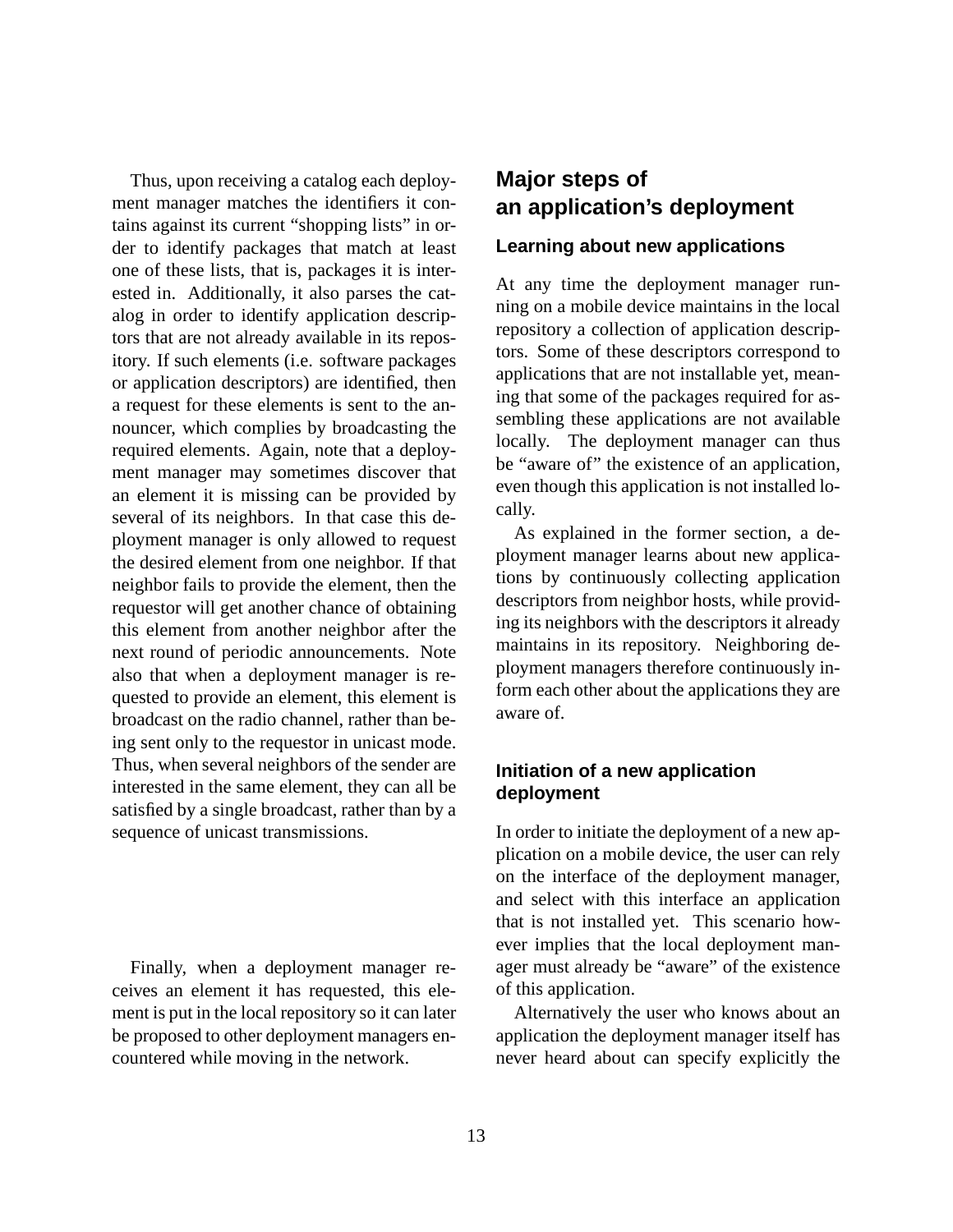Thus, upon receiving a catalog each deployment manager matches the identifiers it contains against its current "shopping lists" in order to identify packages that match at least one of these lists, that is, packages it is interested in. Additionally, it also parses the catalog in order to identify application descriptors that are not already available in its repository. If such elements (i.e. software packages or application descriptors) are identified, then a request for these elements is sent to the announcer, which complies by broadcasting the required elements. Again, note that a deployment manager may sometimes discover that an element it is missing can be provided by several of its neighbors. In that case this deployment manager is only allowed to request the desired element from one neighbor. If that neighbor fails to provide the element, then the requestor will get another chance of obtaining this element from another neighbor after the next round of periodic announcements. Note also that when a deployment manager is requested to provide an element, this element is broadcast on the radio channel, rather than being sent only to the requestor in unicast mode. Thus, when several neighbors of the sender are interested in the same element, they can all be satisfied by a single broadcast, rather than by a sequence of unicast transmissions.

Finally, when a deployment manager receives an element it has requested, this element is put in the local repository so it can later be proposed to other deployment managers encountered while moving in the network.

### **Major steps of an application's deployment**

#### **Learning about new applications**

At any time the deployment manager running on a mobile device maintains in the local repository a collection of application descriptors. Some of these descriptors correspond to applications that are not installable yet, meaning that some of the packages required for assembling these applications are not available locally. The deployment manager can thus be "aware of" the existence of an application, even though this application is not installed locally.

As explained in the former section, a deployment manager learns about new applications by continuously collecting application descriptors from neighbor hosts, while providing its neighbors with the descriptors it already maintains in its repository. Neighboring deployment managers therefore continuously inform each other about the applications they are aware of.

### **Initiation of a new application deployment**

In order to initiate the deployment of a new application on a mobile device, the user can rely on the interface of the deployment manager, and select with this interface an application that is not installed yet. This scenario however implies that the local deployment manager must already be "aware" of the existence of this application.

Alternatively the user who knows about an application the deployment manager itself has never heard about can specify explicitly the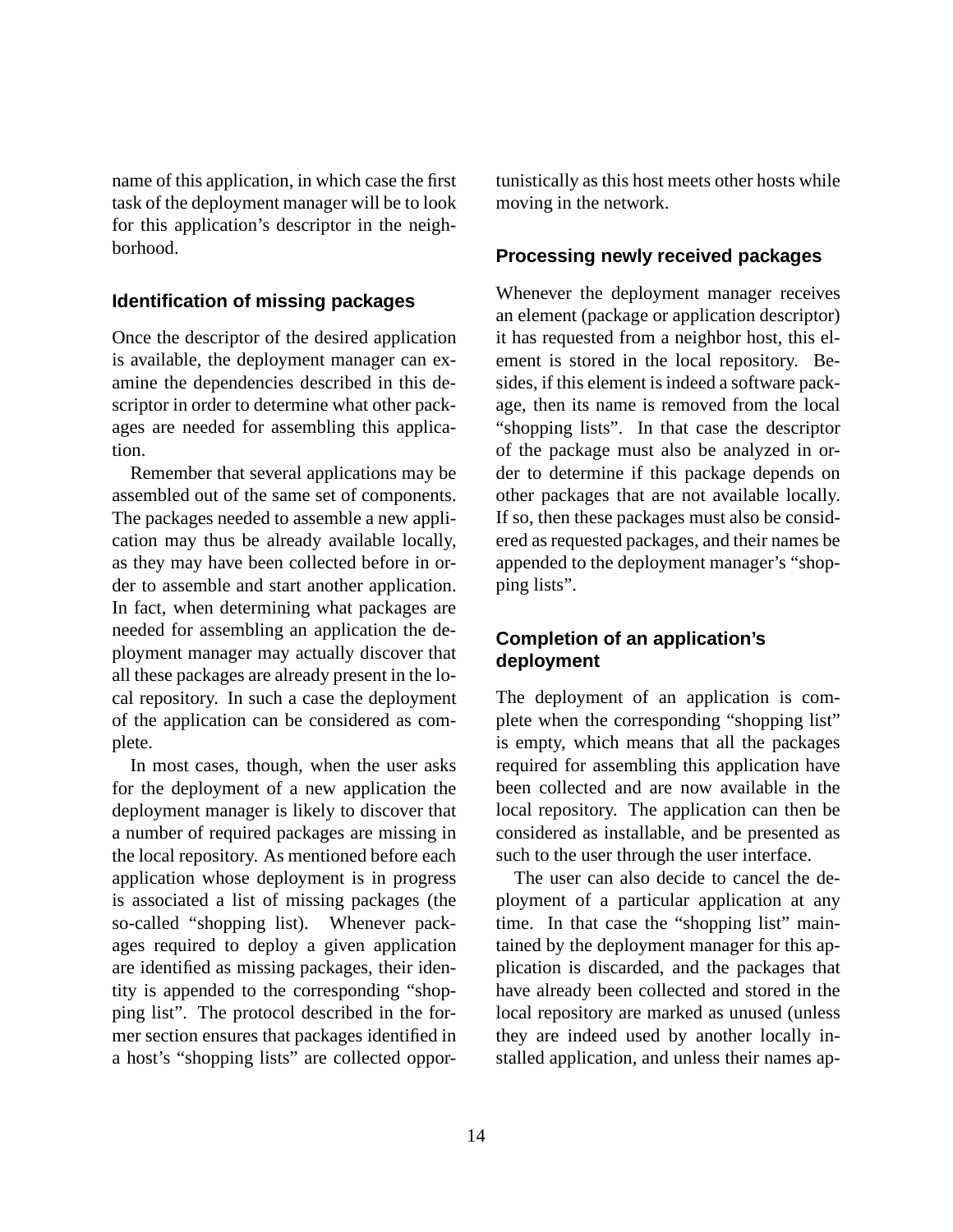name of this application, in which case the first task of the deployment manager will be to look for this application's descriptor in the neighborhood.

#### **Identification of missing packages**

Once the descriptor of the desired application is available, the deployment manager can examine the dependencies described in this descriptor in order to determine what other packages are needed for assembling this application.

Remember that several applications may be assembled out of the same set of components. The packages needed to assemble a new application may thus be already available locally, as they may have been collected before in order to assemble and start another application. In fact, when determining what packages are needed for assembling an application the deployment manager may actually discover that all these packages are already present in the local repository. In such a case the deployment of the application can be considered as complete.

In most cases, though, when the user asks for the deployment of a new application the deployment manager is likely to discover that a number of required packages are missing in the local repository. As mentioned before each application whose deployment is in progress is associated a list of missing packages (the so-called "shopping list). Whenever packages required to deploy a given application are identified as missing packages, their identity is appended to the corresponding "shopping list". The protocol described in the former section ensures that packages identified in a host's "shopping lists" are collected opportunistically as this host meets other hosts while moving in the network.

#### **Processing newly received packages**

Whenever the deployment manager receives an element (package or application descriptor) it has requested from a neighbor host, this element is stored in the local repository. Besides, if this element is indeed a software package, then its name is removed from the local "shopping lists". In that case the descriptor of the package must also be analyzed in order to determine if this package depends on other packages that are not available locally. If so, then these packages must also be considered as requested packages, and their names be appended to the deployment manager's "shopping lists".

#### **Completion of an application's deployment**

The deployment of an application is complete when the corresponding "shopping list" is empty, which means that all the packages required for assembling this application have been collected and are now available in the local repository. The application can then be considered as installable, and be presented as such to the user through the user interface.

The user can also decide to cancel the deployment of a particular application at any time. In that case the "shopping list" maintained by the deployment manager for this application is discarded, and the packages that have already been collected and stored in the local repository are marked as unused (unless they are indeed used by another locally installed application, and unless their names ap-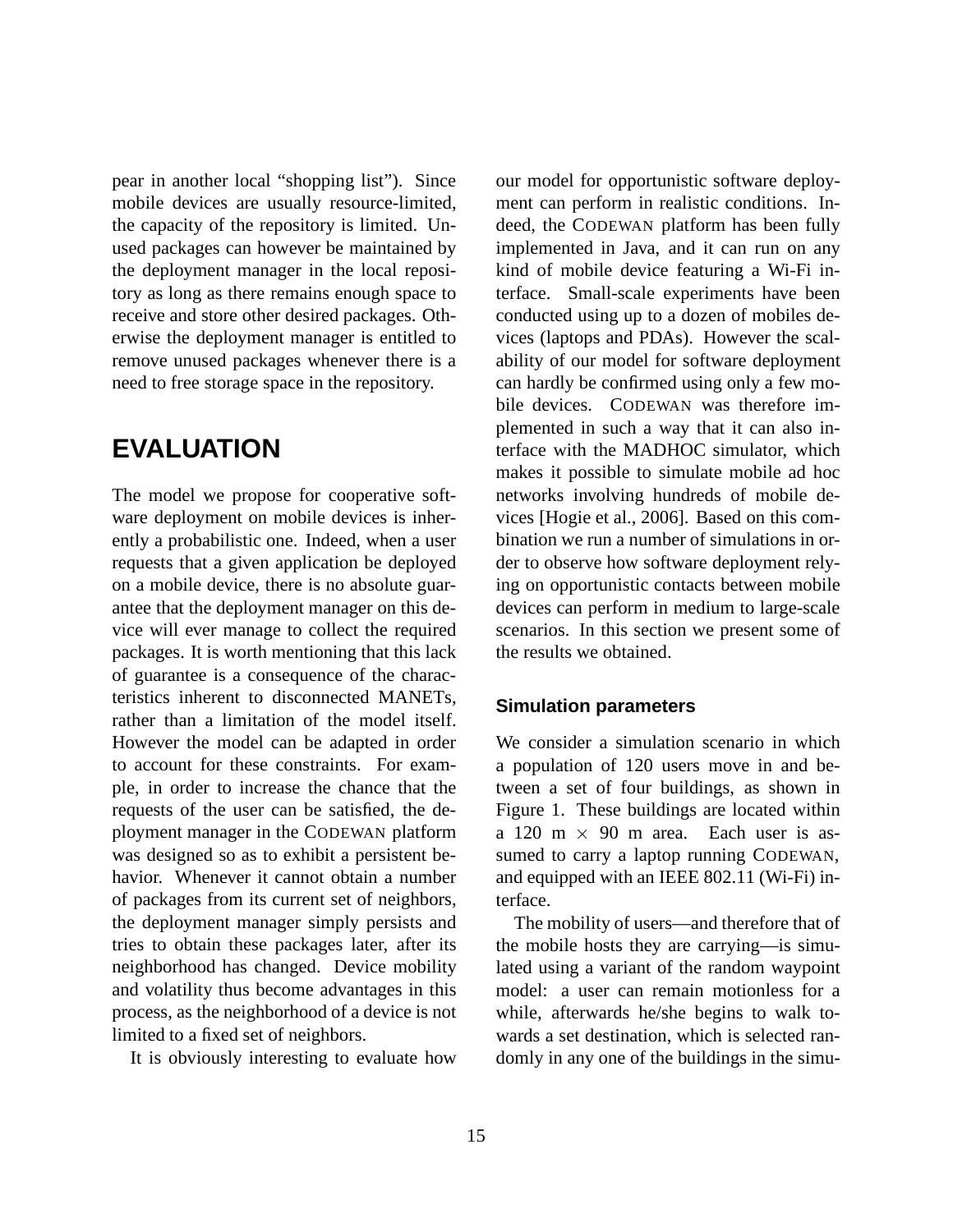pear in another local "shopping list"). Since mobile devices are usually resource-limited, the capacity of the repository is limited. Unused packages can however be maintained by the deployment manager in the local repository as long as there remains enough space to receive and store other desired packages. Otherwise the deployment manager is entitled to remove unused packages whenever there is a need to free storage space in the repository.

# **EVALUATION**

The model we propose for cooperative software deployment on mobile devices is inherently a probabilistic one. Indeed, when a user requests that a given application be deployed on a mobile device, there is no absolute guarantee that the deployment manager on this device will ever manage to collect the required packages. It is worth mentioning that this lack of guarantee is a consequence of the characteristics inherent to disconnected MANETs, rather than a limitation of the model itself. However the model can be adapted in order to account for these constraints. For example, in order to increase the chance that the requests of the user can be satisfied, the deployment manager in the CODEWAN platform was designed so as to exhibit a persistent behavior. Whenever it cannot obtain a number of packages from its current set of neighbors, the deployment manager simply persists and tries to obtain these packages later, after its neighborhood has changed. Device mobility and volatility thus become advantages in this process, as the neighborhood of a device is not limited to a fixed set of neighbors.

It is obviously interesting to evaluate how

our model for opportunistic software deployment can perform in realistic conditions. Indeed, the CODEWAN platform has been fully implemented in Java, and it can run on any kind of mobile device featuring a Wi-Fi interface. Small-scale experiments have been conducted using up to a dozen of mobiles devices (laptops and PDAs). However the scalability of our model for software deployment can hardly be confirmed using only a few mobile devices. CODEWAN was therefore implemented in such a way that it can also interface with the MADHOC simulator, which makes it possible to simulate mobile ad hoc networks involving hundreds of mobile devices [Hogie et al., 2006]. Based on this combination we run a number of simulations in order to observe how software deployment relying on opportunistic contacts between mobile devices can perform in medium to large-scale scenarios. In this section we present some of the results we obtained.

#### **Simulation parameters**

We consider a simulation scenario in which a population of 120 users move in and between a set of four buildings, as shown in Figure 1. These buildings are located within a 120 m  $\times$  90 m area. Each user is assumed to carry a laptop running CODEWAN, and equipped with an IEEE 802.11 (Wi-Fi) interface.

The mobility of users—and therefore that of the mobile hosts they are carrying—is simulated using a variant of the random waypoint model: a user can remain motionless for a while, afterwards he/she begins to walk towards a set destination, which is selected randomly in any one of the buildings in the simu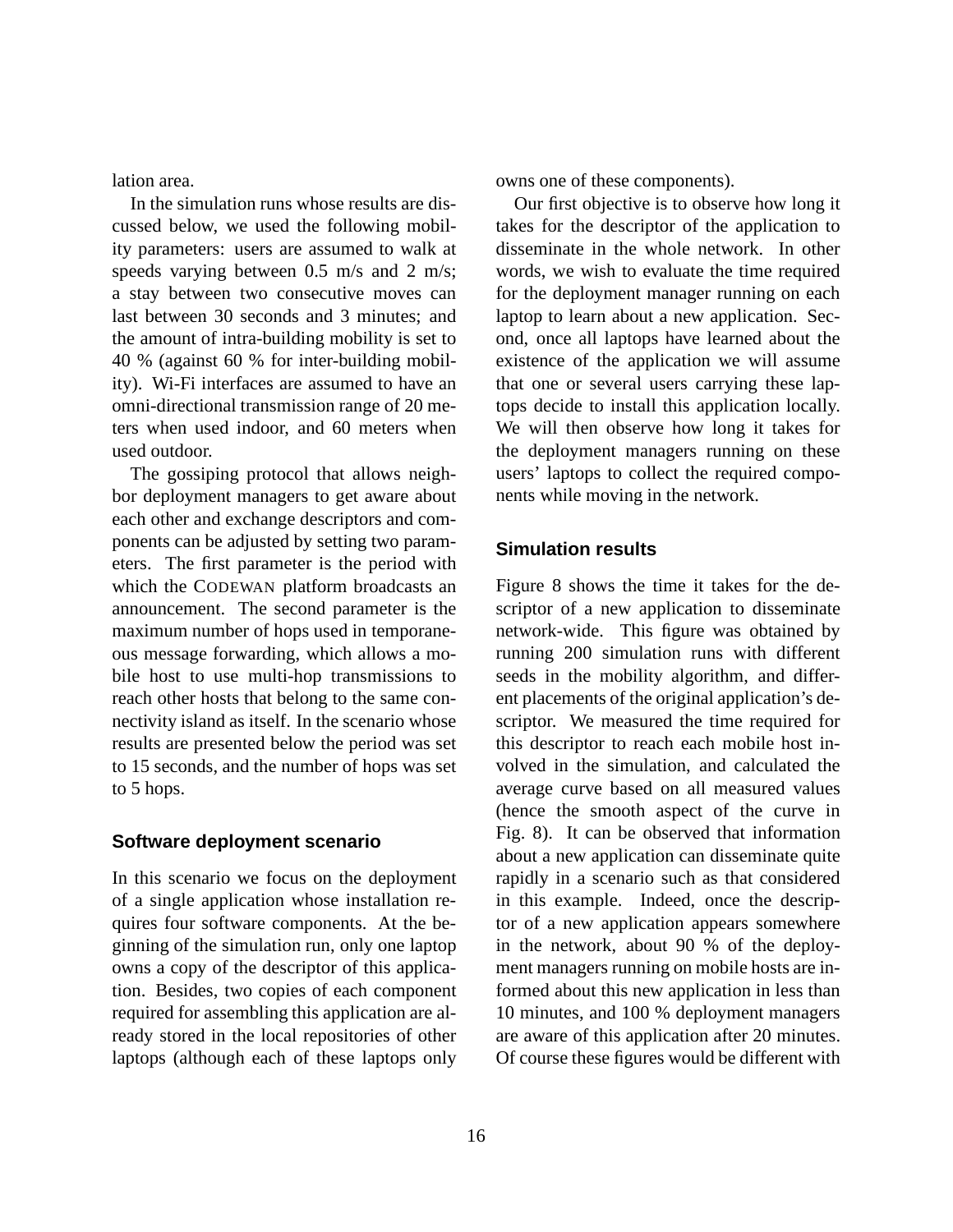lation area.

In the simulation runs whose results are discussed below, we used the following mobility parameters: users are assumed to walk at speeds varying between 0.5 m/s and 2 m/s; a stay between two consecutive moves can last between 30 seconds and 3 minutes; and the amount of intra-building mobility is set to 40 % (against 60 % for inter-building mobility). Wi-Fi interfaces are assumed to have an omni-directional transmission range of 20 meters when used indoor, and 60 meters when used outdoor.

The gossiping protocol that allows neighbor deployment managers to get aware about each other and exchange descriptors and components can be adjusted by setting two parameters. The first parameter is the period with which the CODEWAN platform broadcasts an announcement. The second parameter is the maximum number of hops used in temporaneous message forwarding, which allows a mobile host to use multi-hop transmissions to reach other hosts that belong to the same connectivity island as itself. In the scenario whose results are presented below the period was set to 15 seconds, and the number of hops was set to 5 hops.

#### **Software deployment scenario**

In this scenario we focus on the deployment of a single application whose installation requires four software components. At the beginning of the simulation run, only one laptop owns a copy of the descriptor of this application. Besides, two copies of each component required for assembling this application are already stored in the local repositories of other laptops (although each of these laptops only owns one of these components).

Our first objective is to observe how long it takes for the descriptor of the application to disseminate in the whole network. In other words, we wish to evaluate the time required for the deployment manager running on each laptop to learn about a new application. Second, once all laptops have learned about the existence of the application we will assume that one or several users carrying these laptops decide to install this application locally. We will then observe how long it takes for the deployment managers running on these users' laptops to collect the required components while moving in the network.

#### **Simulation results**

Figure 8 shows the time it takes for the descriptor of a new application to disseminate network-wide. This figure was obtained by running 200 simulation runs with different seeds in the mobility algorithm, and different placements of the original application's descriptor. We measured the time required for this descriptor to reach each mobile host involved in the simulation, and calculated the average curve based on all measured values (hence the smooth aspect of the curve in Fig. 8). It can be observed that information about a new application can disseminate quite rapidly in a scenario such as that considered in this example. Indeed, once the descriptor of a new application appears somewhere in the network, about 90 % of the deployment managers running on mobile hosts are informed about this new application in less than 10 minutes, and 100 % deployment managers are aware of this application after 20 minutes. Of course these figures would be different with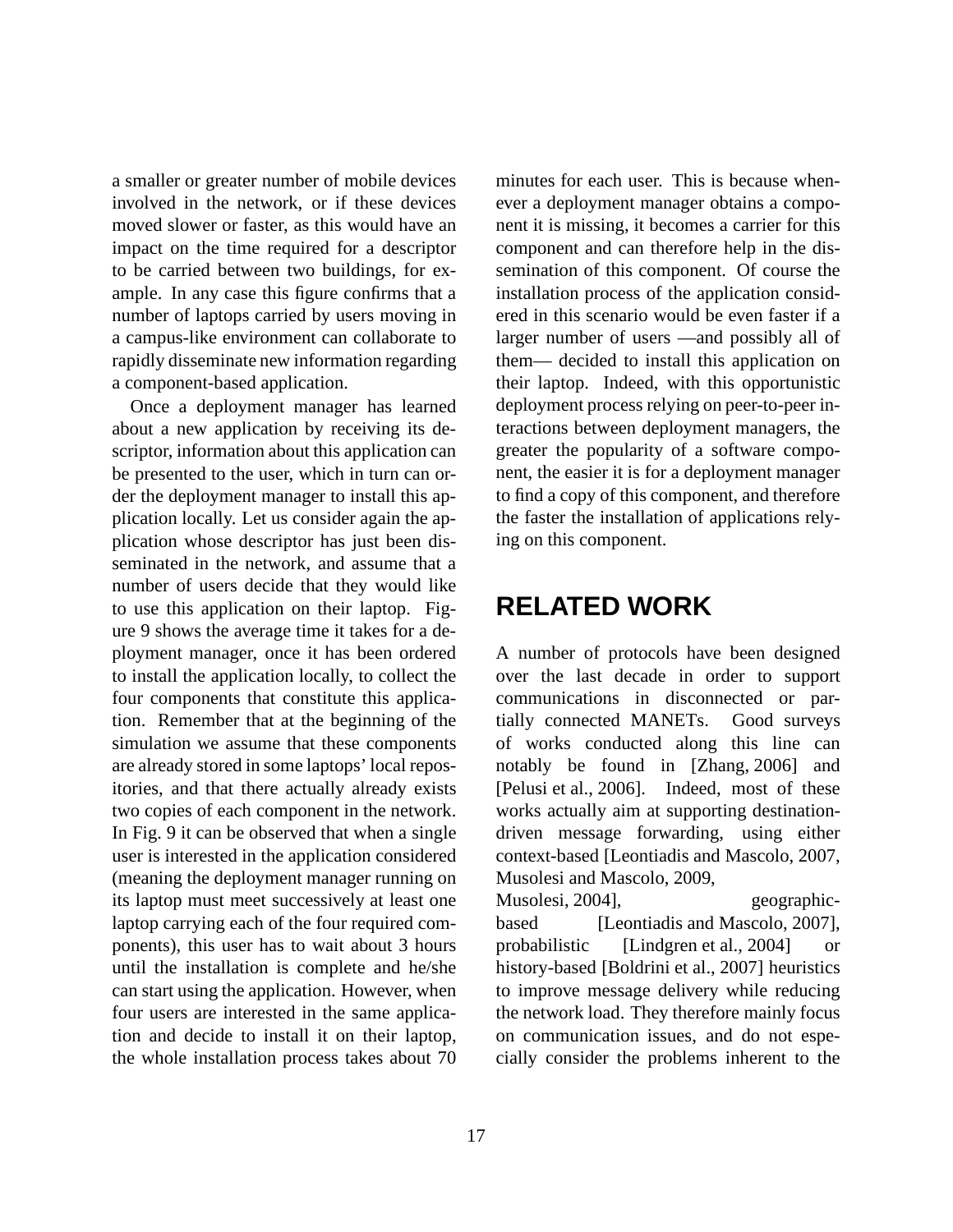a smaller or greater number of mobile devices involved in the network, or if these devices moved slower or faster, as this would have an impact on the time required for a descriptor to be carried between two buildings, for example. In any case this figure confirms that a number of laptops carried by users moving in a campus-like environment can collaborate to rapidly disseminate new information regarding a component-based application.

Once a deployment manager has learned about a new application by receiving its descriptor, information about this application can be presented to the user, which in turn can order the deployment manager to install this application locally. Let us consider again the application whose descriptor has just been disseminated in the network, and assume that a number of users decide that they would like to use this application on their laptop. Figure 9 shows the average time it takes for a deployment manager, once it has been ordered to install the application locally, to collect the four components that constitute this application. Remember that at the beginning of the simulation we assume that these components are already stored in some laptops' local repositories, and that there actually already exists two copies of each component in the network. In Fig. 9 it can be observed that when a single user is interested in the application considered (meaning the deployment manager running on its laptop must meet successively at least one laptop carrying each of the four required components), this user has to wait about 3 hours until the installation is complete and he/she can start using the application. However, when four users are interested in the same application and decide to install it on their laptop, the whole installation process takes about 70

minutes for each user. This is because whenever a deployment manager obtains a component it is missing, it becomes a carrier for this component and can therefore help in the dissemination of this component. Of course the installation process of the application considered in this scenario would be even faster if a larger number of users —and possibly all of them— decided to install this application on their laptop. Indeed, with this opportunistic deployment process relying on peer-to-peer interactions between deployment managers, the greater the popularity of a software component, the easier it is for a deployment manager to find a copy of this component, and therefore the faster the installation of applications relying on this component.

# **RELATED WORK**

A number of protocols have been designed over the last decade in order to support communications in disconnected or partially connected MANETs. Good surveys of works conducted along this line can notably be found in [Zhang, 2006] and [Pelusi et al., 2006]. Indeed, most of these works actually aim at supporting destinationdriven message forwarding, using either context-based [Leontiadis and Mascolo, 2007, Musolesi and Mascolo, 2009, Musolesi, 2004], geographicbased [Leontiadis and Mascolo, 2007], probabilistic [Lindgren et al., 2004] or history-based [Boldrini et al., 2007] heuristics to improve message delivery while reducing the network load. They therefore mainly focus

on communication issues, and do not especially consider the problems inherent to the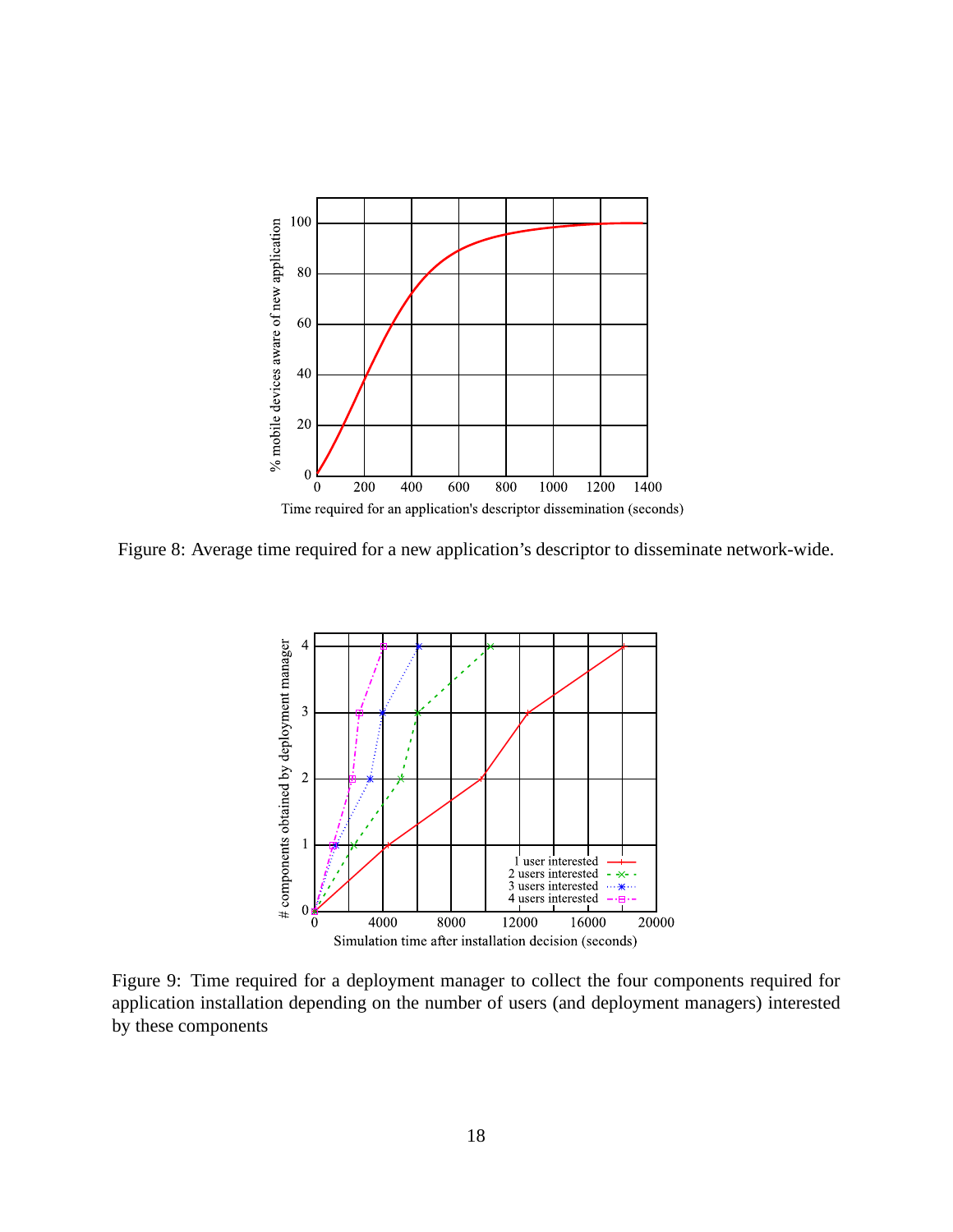

Figure 8: Average time required for a new application's descriptor to disseminate network-wide.



Figure 9: Time required for a deployment manager to collect the four components required for application installation depending on the number of users (and deployment managers) interested by these components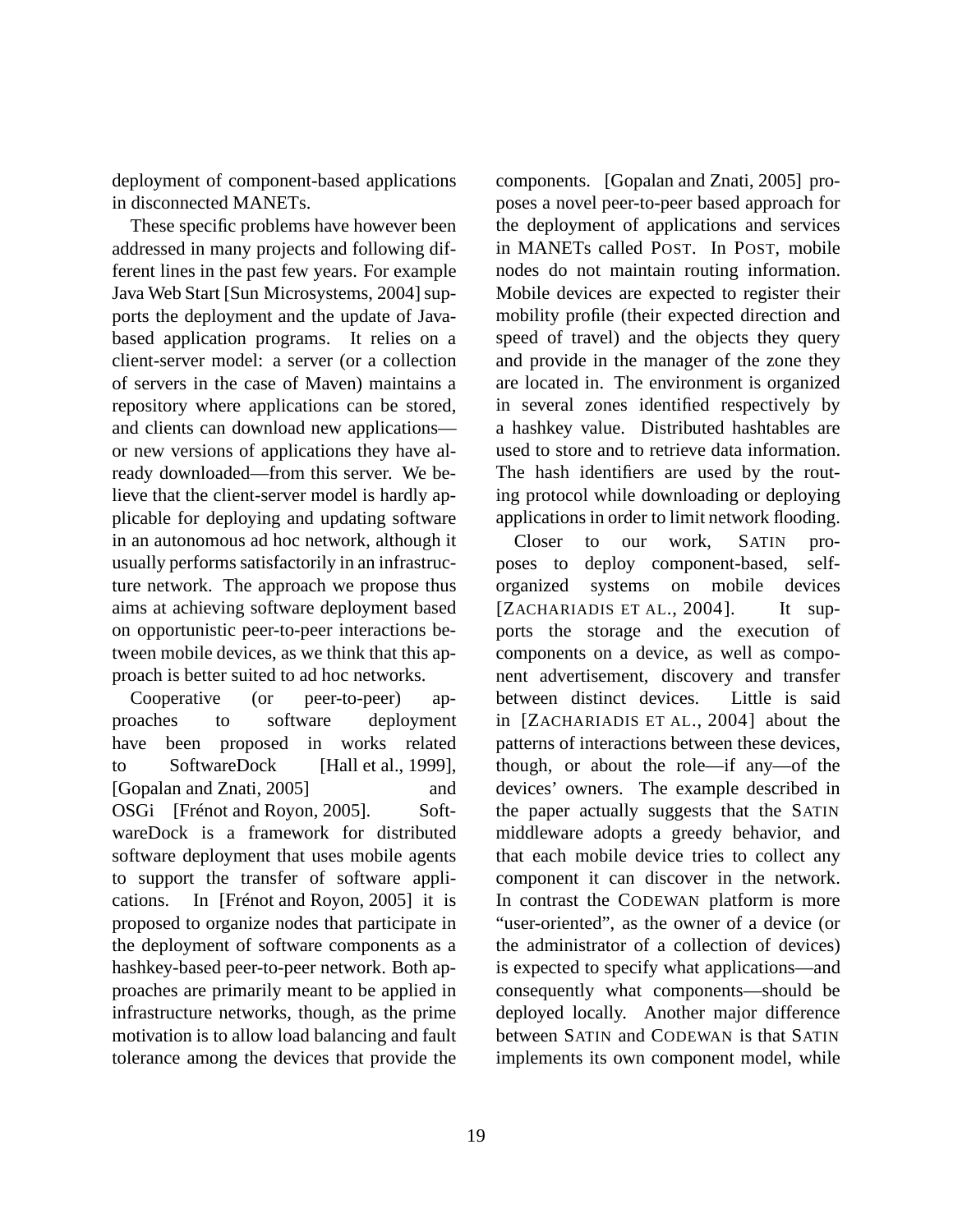deployment of component-based applications in disconnected MANETs.

These specific problems have however been addressed in many projects and following different lines in the past few years. For example Java Web Start [Sun Microsystems, 2004] supports the deployment and the update of Javabased application programs. It relies on a client-server model: a server (or a collection of servers in the case of Maven) maintains a repository where applications can be stored, and clients can download new applications or new versions of applications they have already downloaded—from this server. We believe that the client-server model is hardly applicable for deploying and updating software in an autonomous ad hoc network, although it usually performs satisfactorily in an infrastructure network. The approach we propose thus aims at achieving software deployment based on opportunistic peer-to-peer interactions between mobile devices, as we think that this approach is better suited to ad hoc networks.

Cooperative (or peer-to-peer) approaches to software deployment have been proposed in works related to SoftwareDock [Hall et al., 1999], [Gopalan and Znati, 2005] and OSGi [Frénot and Royon, 2005]. SoftwareDock is a framework for distributed software deployment that uses mobile agents to support the transfer of software applications. In [Frénot and Royon, 2005] it is proposed to organize nodes that participate in the deployment of software components as a hashkey-based peer-to-peer network. Both approaches are primarily meant to be applied in infrastructure networks, though, as the prime motivation is to allow load balancing and fault tolerance among the devices that provide the components. [Gopalan and Znati, 2005] proposes a novel peer-to-peer based approach for the deployment of applications and services in MANETs called POST. In POST, mobile nodes do not maintain routing information. Mobile devices are expected to register their mobility profile (their expected direction and speed of travel) and the objects they query and provide in the manager of the zone they are located in. The environment is organized in several zones identified respectively by a hashkey value. Distributed hashtables are used to store and to retrieve data information. The hash identifiers are used by the routing protocol while downloading or deploying applications in order to limit network flooding.

Closer to our work, SATIN proposes to deploy component-based, selforganized systems on mobile devices [ZACHARIADIS ET AL., 2004]. It supports the storage and the execution of components on a device, as well as component advertisement, discovery and transfer between distinct devices. Little is said in [ZACHARIADIS ET AL., 2004] about the patterns of interactions between these devices, though, or about the role—if any—of the devices' owners. The example described in the paper actually suggests that the SATIN middleware adopts a greedy behavior, and that each mobile device tries to collect any component it can discover in the network. In contrast the CODEWAN platform is more "user-oriented", as the owner of a device (or the administrator of a collection of devices) is expected to specify what applications—and consequently what components—should be deployed locally. Another major difference between SATIN and CODEWAN is that SATIN implements its own component model, while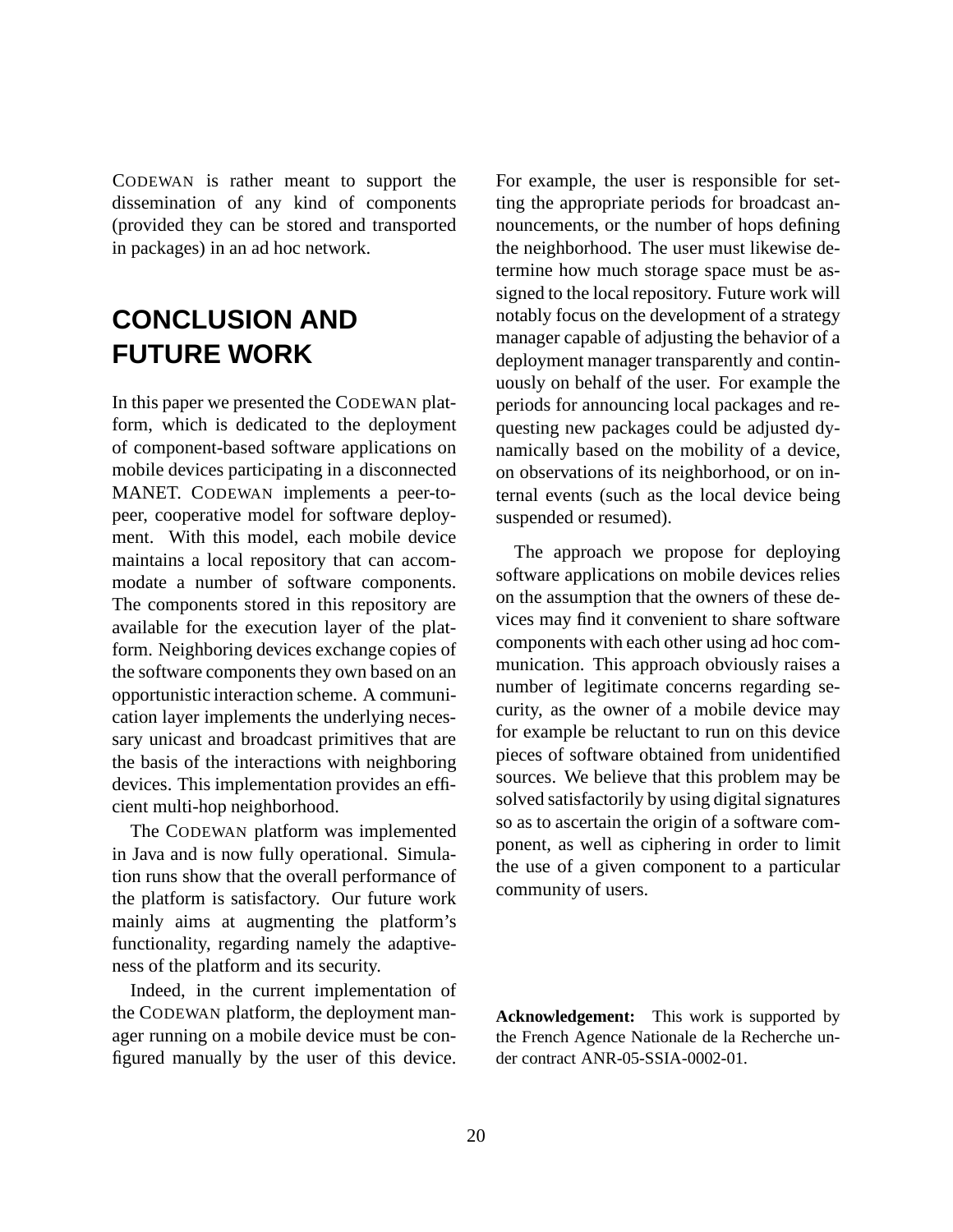CODEWAN is rather meant to support the dissemination of any kind of components (provided they can be stored and transported in packages) in an ad hoc network.

# **CONCLUSION AND FUTURE WORK**

In this paper we presented the CODEWAN platform, which is dedicated to the deployment of component-based software applications on mobile devices participating in a disconnected MANET. CODEWAN implements a peer-topeer, cooperative model for software deployment. With this model, each mobile device maintains a local repository that can accommodate a number of software components. The components stored in this repository are available for the execution layer of the platform. Neighboring devices exchange copies of the software components they own based on an opportunistic interaction scheme. A communication layer implements the underlying necessary unicast and broadcast primitives that are the basis of the interactions with neighboring devices. This implementation provides an efficient multi-hop neighborhood.

The CODEWAN platform was implemented in Java and is now fully operational. Simulation runs show that the overall performance of the platform is satisfactory. Our future work mainly aims at augmenting the platform's functionality, regarding namely the adaptiveness of the platform and its security.

Indeed, in the current implementation of the CODEWAN platform, the deployment manager running on a mobile device must be configured manually by the user of this device.

For example, the user is responsible for setting the appropriate periods for broadcast announcements, or the number of hops defining the neighborhood. The user must likewise determine how much storage space must be assigned to the local repository. Future work will notably focus on the development of a strategy manager capable of adjusting the behavior of a deployment manager transparently and continuously on behalf of the user. For example the periods for announcing local packages and requesting new packages could be adjusted dynamically based on the mobility of a device, on observations of its neighborhood, or on internal events (such as the local device being suspended or resumed).

The approach we propose for deploying software applications on mobile devices relies on the assumption that the owners of these devices may find it convenient to share software components with each other using ad hoc communication. This approach obviously raises a number of legitimate concerns regarding security, as the owner of a mobile device may for example be reluctant to run on this device pieces of software obtained from unidentified sources. We believe that this problem may be solved satisfactorily by using digital signatures so as to ascertain the origin of a software component, as well as ciphering in order to limit the use of a given component to a particular community of users.

**Acknowledgement:** This work is supported by the French Agence Nationale de la Recherche under contract ANR-05-SSIA-0002-01.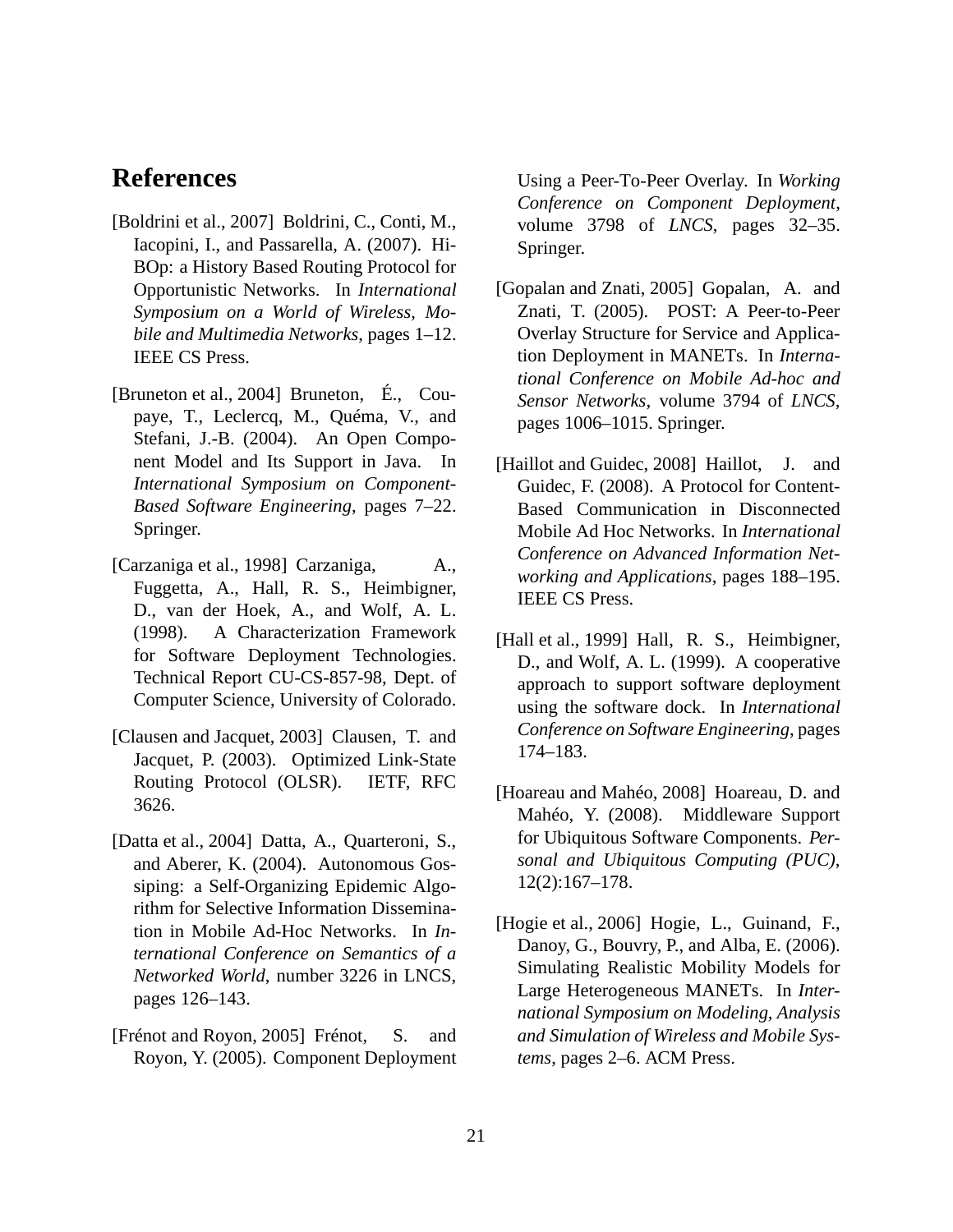### **References**

- [Boldrini et al., 2007] Boldrini, C., Conti, M., Iacopini, I., and Passarella, A. (2007). Hi-BOp: a History Based Routing Protocol for Opportunistic Networks. In *International Symposium on a World of Wireless, Mobile and Multimedia Networks*, pages 1–12. IEEE CS Press.
- [Bruneton et al., 2004] Bruneton, É., Coupaye, T., Leclercq, M., Quéma, V., and Stefani, J.-B. (2004). An Open Component Model and Its Support in Java. In *International Symposium on Component-Based Software Engineering*, pages 7–22. Springer.
- [Carzaniga et al., 1998] Carzaniga, A., Fuggetta, A., Hall, R. S., Heimbigner, D., van der Hoek, A., and Wolf, A. L. (1998). A Characterization Framework for Software Deployment Technologies. Technical Report CU-CS-857-98, Dept. of Computer Science, University of Colorado.
- [Clausen and Jacquet, 2003] Clausen, T. and Jacquet, P. (2003). Optimized Link-State Routing Protocol (OLSR). IETF, RFC 3626.
- [Datta et al., 2004] Datta, A., Quarteroni, S., and Aberer, K. (2004). Autonomous Gossiping: a Self-Organizing Epidemic Algorithm for Selective Information Dissemination in Mobile Ad-Hoc Networks. In *International Conference on Semantics of a Networked World*, number 3226 in LNCS, pages 126–143.
- [Frénot and Royon, 2005] Frénot, S. and Royon, Y. (2005). Component Deployment

Using a Peer-To-Peer Overlay. In *Working Conference on Component Deployment*, volume 3798 of *LNCS*, pages 32–35. Springer.

- [Gopalan and Znati, 2005] Gopalan, A. and Znati, T. (2005). POST: A Peer-to-Peer Overlay Structure for Service and Application Deployment in MANETs. In *International Conference on Mobile Ad-hoc and Sensor Networks*, volume 3794 of *LNCS*, pages 1006–1015. Springer.
- [Haillot and Guidec, 2008] Haillot, J. and Guidec, F. (2008). A Protocol for Content-Based Communication in Disconnected Mobile Ad Hoc Networks. In *International Conference on Advanced Information Networking and Applications*, pages 188–195. IEEE CS Press.
- [Hall et al., 1999] Hall, R. S., Heimbigner, D., and Wolf, A. L. (1999). A cooperative approach to support software deployment using the software dock. In *International Conference on Software Engineering*, pages 174–183.
- [Hoareau and Mahéo, 2008] Hoareau, D. and Mahéo, Y. (2008). Middleware Support for Ubiquitous Software Components. *Personal and Ubiquitous Computing (PUC)*, 12(2):167–178.
- [Hogie et al., 2006] Hogie, L., Guinand, F., Danoy, G., Bouvry, P., and Alba, E. (2006). Simulating Realistic Mobility Models for Large Heterogeneous MANETs. In *International Symposium on Modeling, Analysis and Simulation of Wireless and Mobile Systems*, pages 2–6. ACM Press.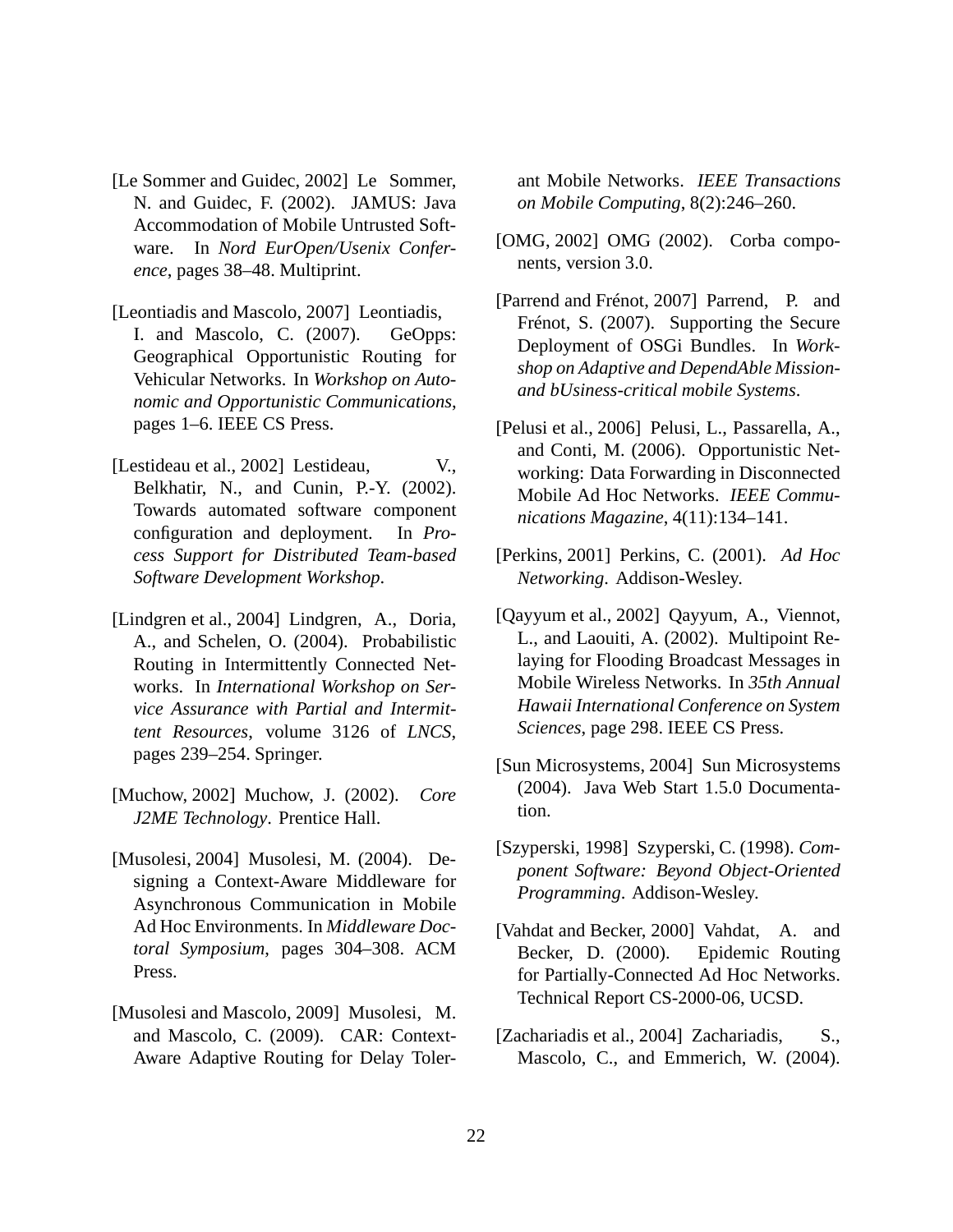- [Le Sommer and Guidec, 2002] Le Sommer, N. and Guidec, F. (2002). JAMUS: Java Accommodation of Mobile Untrusted Software. In *Nord EurOpen/Usenix Conference*, pages 38–48. Multiprint.
- [Leontiadis and Mascolo, 2007] Leontiadis, I. and Mascolo, C. (2007). GeOpps: Geographical Opportunistic Routing for Vehicular Networks. In *Workshop on Autonomic and Opportunistic Communications*, pages 1–6. IEEE CS Press.
- [Lestideau et al., 2002] Lestideau, V., Belkhatir, N., and Cunin, P.-Y. (2002). Towards automated software component configuration and deployment. In *Process Support for Distributed Team-based Software Development Workshop*.
- [Lindgren et al., 2004] Lindgren, A., Doria, A., and Schelen, O. (2004). Probabilistic Routing in Intermittently Connected Networks. In *International Workshop on Service Assurance with Partial and Intermittent Resources*, volume 3126 of *LNCS*, pages 239–254. Springer.
- [Muchow, 2002] Muchow, J. (2002). *Core J2ME Technology*. Prentice Hall.
- [Musolesi, 2004] Musolesi, M. (2004). Designing a Context-Aware Middleware for Asynchronous Communication in Mobile Ad Hoc Environments. In *Middleware Doctoral Symposium*, pages 304–308. ACM Press.
- [Musolesi and Mascolo, 2009] Musolesi, M. and Mascolo, C. (2009). CAR: Context-Aware Adaptive Routing for Delay Toler-

ant Mobile Networks. *IEEE Transactions on Mobile Computing*, 8(2):246–260.

- [OMG, 2002] OMG (2002). Corba components, version 3.0.
- [Parrend and Frénot, 2007] Parrend, P. and Frénot, S. (2007). Supporting the Secure Deployment of OSGi Bundles. In *Workshop on Adaptive and DependAble Missionand bUsiness-critical mobile Systems*.
- [Pelusi et al., 2006] Pelusi, L., Passarella, A., and Conti, M. (2006). Opportunistic Networking: Data Forwarding in Disconnected Mobile Ad Hoc Networks. *IEEE Communications Magazine*, 4(11):134–141.
- [Perkins, 2001] Perkins, C. (2001). *Ad Hoc Networking*. Addison-Wesley.
- [Qayyum et al., 2002] Qayyum, A., Viennot, L., and Laouiti, A. (2002). Multipoint Relaying for Flooding Broadcast Messages in Mobile Wireless Networks. In *35th Annual Hawaii International Conference on System Sciences*, page 298. IEEE CS Press.
- [Sun Microsystems, 2004] Sun Microsystems (2004). Java Web Start 1.5.0 Documentation.
- [Szyperski, 1998] Szyperski, C. (1998). *Component Software: Beyond Object-Oriented Programming*. Addison-Wesley.
- [Vahdat and Becker, 2000] Vahdat, A. and Becker, D. (2000). Epidemic Routing for Partially-Connected Ad Hoc Networks. Technical Report CS-2000-06, UCSD.
- [Zachariadis et al., 2004] Zachariadis, S., Mascolo, C., and Emmerich, W. (2004).